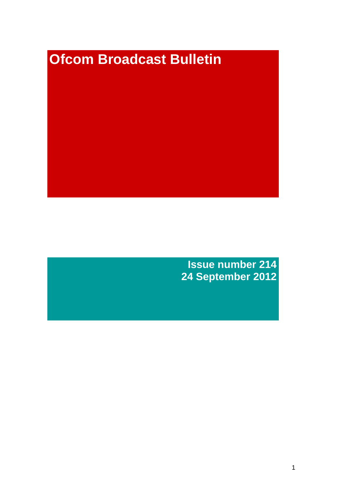# **Ofcom Broadcast Bulletin**

**Issue number 214 24 September 2012**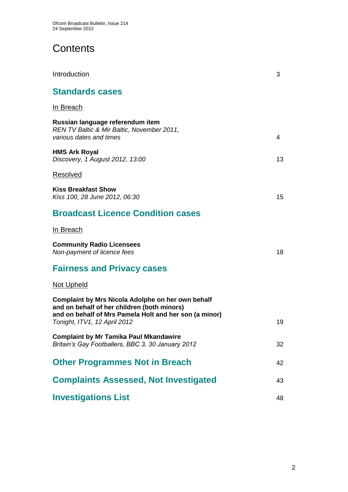# **Contents**

| Introduction                                                                                                                                                                               | 3  |
|--------------------------------------------------------------------------------------------------------------------------------------------------------------------------------------------|----|
| <b>Standards cases</b>                                                                                                                                                                     |    |
| <u>In Breach</u>                                                                                                                                                                           |    |
| Russian language referendum item<br>REN TV Baltic & Mir Baltic, November 2011,<br>various dates and times                                                                                  | 4  |
| <b>HMS Ark Royal</b><br>Discovery, 1 August 2012, 13:00                                                                                                                                    | 13 |
| Resolved                                                                                                                                                                                   |    |
| <b>Kiss Breakfast Show</b><br>Kiss 100, 28 June 2012, 06:30                                                                                                                                | 15 |
| <b>Broadcast Licence Condition cases</b>                                                                                                                                                   |    |
| In Breach                                                                                                                                                                                  |    |
| <b>Community Radio Licensees</b><br>Non-payment of licence fees                                                                                                                            | 18 |
| <b>Fairness and Privacy cases</b>                                                                                                                                                          |    |
| <b>Not Upheld</b>                                                                                                                                                                          |    |
| Complaint by Mrs Nicola Adolphe on her own behalf<br>and on behalf of her children (both minors)<br>and on behalf of Mrs Pamela Holt and her son (a minor)<br>Tonight, ITV1, 12 April 2012 | 19 |
| <b>Complaint by Mr Tamika Paul Mkandawire</b><br>Britain's Gay Footballers, BBC 3, 30 January 2012                                                                                         | 32 |
| <b>Other Programmes Not in Breach</b>                                                                                                                                                      | 42 |
| <b>Complaints Assessed, Not Investigated</b>                                                                                                                                               | 43 |
| <b>Investigations List</b>                                                                                                                                                                 | 48 |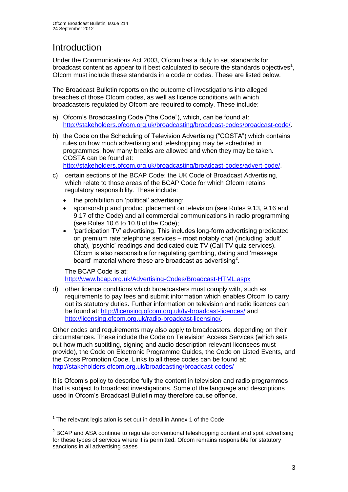# **Introduction**

Under the Communications Act 2003, Ofcom has a duty to set standards for broadcast content as appear to it best calculated to secure the standards objectives<sup>1</sup>, Ofcom must include these standards in a code or codes. These are listed below.

The Broadcast Bulletin reports on the outcome of investigations into alleged breaches of those Ofcom codes, as well as licence conditions with which broadcasters regulated by Ofcom are required to comply. These include:

- a) Ofcom's Broadcasting Code ("the Code"), which, can be found at: [http://stakeholders.ofcom.org.uk/broadcasting/broadcast-codes/broadcast-code/.](http://stakeholders.ofcom.org.uk/broadcasting/broadcast-codes/broadcast-code/)
- b) the Code on the Scheduling of Television Advertising ("COSTA") which contains rules on how much advertising and teleshopping may be scheduled in programmes, how many breaks are allowed and when they may be taken. COSTA can be found at:

[http://stakeholders.ofcom.org.uk/broadcasting/broadcast-codes/advert-code/.](http://stakeholders.ofcom.org.uk/broadcasting/broadcast-codes/advert-code/)

- c) certain sections of the BCAP Code: the UK Code of Broadcast Advertising, which relate to those areas of the BCAP Code for which Ofcom retains regulatory responsibility. These include:
	- the prohibition on 'political' advertising;
	- sponsorship and product placement on television (see Rules 9.13, 9.16 and 9.17 of the Code) and all commercial communications in radio programming (see Rules 10.6 to 10.8 of the Code);
	- 'participation TV' advertising. This includes long-form advertising predicated on premium rate telephone services – most notably chat (including 'adult' chat), 'psychic' readings and dedicated quiz TV (Call TV quiz services). Ofcom is also responsible for regulating gambling, dating and 'message board' material where these are broadcast as advertising<sup>2</sup>.

The BCAP Code is at: <http://www.bcap.org.uk/Advertising-Codes/Broadcast-HTML.aspx>

d) other licence conditions which broadcasters must comply with, such as requirements to pay fees and submit information which enables Ofcom to carry out its statutory duties. Further information on television and radio licences can be found at:<http://licensing.ofcom.org.uk/tv-broadcast-licences/> and [http://licensing.ofcom.org.uk/radio-broadcast-licensing/.](http://licensing.ofcom.org.uk/radio-broadcast-licensing/)

Other codes and requirements may also apply to broadcasters, depending on their circumstances. These include the Code on Television Access Services (which sets out how much subtitling, signing and audio description relevant licensees must provide), the Code on Electronic Programme Guides, the Code on Listed Events, and the Cross Promotion Code. Links to all these codes can be found at: <http://stakeholders.ofcom.org.uk/broadcasting/broadcast-codes/>

It is Ofcom's policy to describe fully the content in television and radio programmes that is subject to broadcast investigations. Some of the language and descriptions used in Ofcom's Broadcast Bulletin may therefore cause offence.

<sup>1</sup>  $1$  The relevant legislation is set out in detail in Annex 1 of the Code.

 $2$  BCAP and ASA continue to regulate conventional teleshopping content and spot advertising for these types of services where it is permitted. Ofcom remains responsible for statutory sanctions in all advertising cases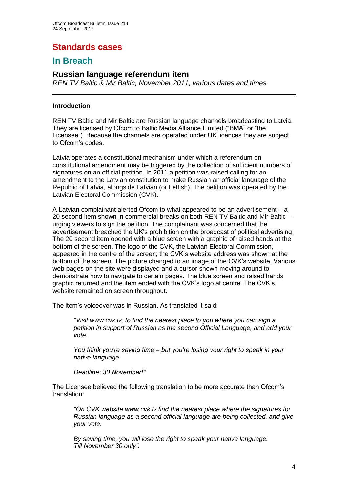# **Standards cases**

# **In Breach**

# **Russian language referendum item**

*REN TV Baltic & Mir Baltic, November 2011, various dates and times*

## **Introduction**

REN TV Baltic and Mir Baltic are Russian language channels broadcasting to Latvia. They are licensed by Ofcom to Baltic Media Alliance Limited ("BMA" or "the Licensee"). Because the channels are operated under UK licences they are subject to Ofcom's codes.

Latvia operates a constitutional mechanism under which a referendum on constitutional amendment may be triggered by the collection of sufficient numbers of signatures on an official petition. In 2011 a petition was raised calling for an amendment to the Latvian constitution to make Russian an official language of the Republic of Latvia, alongside Latvian (or Lettish). The petition was operated by the Latvian Electoral Commission (CVK).

A Latvian complainant alerted Ofcom to what appeared to be an advertisement – a 20 second item shown in commercial breaks on both REN TV Baltic and Mir Baltic – urging viewers to sign the petition. The complainant was concerned that the advertisement breached the UK's prohibition on the broadcast of political advertising. The 20 second item opened with a blue screen with a graphic of raised hands at the bottom of the screen. The logo of the CVK, the Latvian Electoral Commission, appeared in the centre of the screen; the CVK's website address was shown at the bottom of the screen. The picture changed to an image of the CVK's website. Various web pages on the site were displayed and a cursor shown moving around to demonstrate how to navigate to certain pages. The blue screen and raised hands graphic returned and the item ended with the CVK's logo at centre. The CVK's website remained on screen throughout.

The item's voiceover was in Russian. As translated it said:

*"Visit www.cvk.lv, to find the nearest place to you where you can sign a petition in support of Russian as the second Official Language, and add your vote.*

*You think you're saving time – but you're losing your right to speak in your native language.* 

*Deadline: 30 November!"*

The Licensee believed the following translation to be more accurate than Ofcom's translation:

*"On CVK website www.cvk.lv find the nearest place where the signatures for Russian language as a second official language are being collected, and give your vote.*

*By saving time, you will lose the right to speak your native language. Till November 30 only"*.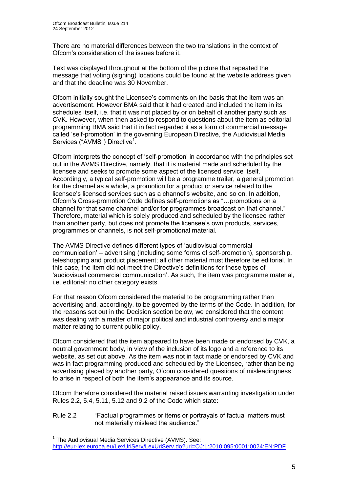1

There are no material differences between the two translations in the context of Ofcom's consideration of the issues before it.

Text was displayed throughout at the bottom of the picture that repeated the message that voting (signing) locations could be found at the website address given and that the deadline was 30 November.

Ofcom initially sought the Licensee's comments on the basis that the item was an advertisement. However BMA said that it had created and included the item in its schedules itself, i.e. that it was not placed by or on behalf of another party such as CVK. However, when then asked to respond to questions about the item as editorial programming BMA said that it in fact regarded it as a form of commercial message called 'self-promotion' in the governing European Directive, the Audiovisual Media Services ("AVMS") Directive<sup>1</sup>.

Ofcom interprets the concept of 'self-promotion' in accordance with the principles set out in the AVMS Directive, namely, that it is material made and scheduled by the licensee and seeks to promote some aspect of the licensed service itself. Accordingly, a typical self-promotion will be a programme trailer, a general promotion for the channel as a whole, a promotion for a product or service related to the licensee's licensed services such as a channel's website, and so on. In addition, Ofcom's Cross-promotion Code defines self-promotions as "…promotions on a channel for that same channel and/or for programmes broadcast on that channel." Therefore, material which is solely produced and scheduled by the licensee rather than another party, but does not promote the licensee's own products, services, programmes or channels, is not self-promotional material.

The AVMS Directive defines different types of 'audiovisual commercial communication' – advertising (including some forms of self-promotion), sponsorship, teleshopping and product placement; all other material must therefore be editorial. In this case, the item did not meet the Directive's definitions for these types of 'audiovisual commercial communication'. As such, the item was programme material, i.e. editorial: no other category exists.

For that reason Ofcom considered the material to be programming rather than advertising and, accordingly, to be governed by the terms of the Code. In addition, for the reasons set out in the Decision section below, we considered that the content was dealing with a matter of major political and industrial controversy and a major matter relating to current public policy.

Ofcom considered that the item appeared to have been made or endorsed by CVK, a neutral government body, in view of the inclusion of its logo and a reference to its website, as set out above. As the item was not in fact made or endorsed by CVK and was in fact programming produced and scheduled by the Licensee, rather than being advertising placed by another party, Ofcom considered questions of misleadingness to arise in respect of both the item's appearance and its source.

Ofcom therefore considered the material raised issues warranting investigation under Rules 2.2, 5.4, 5.11, 5.12 and 9.2 of the Code which state:

### Rule 2.2 "Factual programmes or items or portrayals of factual matters must not materially mislead the audience."

<sup>&</sup>lt;sup>1</sup> The Audiovisual Media Services Directive (AVMS). See: <http://eur-lex.europa.eu/LexUriServ/LexUriServ.do?uri=OJ:L:2010:095:0001:0024:EN:PDF>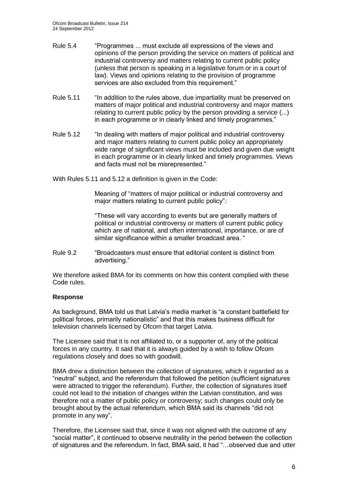- Rule 5.4 "Programmes ... must exclude all expressions of the views and opinions of the person providing the service on matters of political and industrial controversy and matters relating to current public policy (unless that person is speaking in a legislative forum or in a court of law). Views and opinions relating to the provision of programme services are also excluded from this requirement."
- Rule 5.11 "In addition to the rules above, due impartiality must be preserved on matters of major political and industrial controversy and major matters relating to current public policy by the person providing a service (...) in each programme or in clearly linked and timely programmes."
- Rule 5.12 "In dealing with matters of major political and industrial controversy and major matters relating to current public policy an appropriately wide range of significant views must be included and given due weight in each programme or in clearly linked and timely programmes. Views and facts must not be misrepresented."

With Rules 5.11 and 5.12 a definition is given in the Code:

Meaning of "matters of major political or industrial controversy and major matters relating to current public policy":

"These will vary according to events but are generally matters of political or industrial controversy or matters of current public policy which are of national, and often international, importance, or are of similar significance within a smaller broadcast area. "

Rule 9.2 "Broadcasters must ensure that editorial content is distinct from advertising."

We therefore asked BMA for its comments on how this content complied with these Code rules.

## **Response**

As background, BMA told us that Latvia's media market is "a constant battlefield for political forces, primarily nationalistic" and that this makes business difficult for television channels licensed by Ofcom that target Latvia.

The Licensee said that it is not affiliated to, or a supporter of, any of the political forces in any country. It said that it is always guided by a wish to follow Ofcom regulations closely and does so with goodwill.

BMA drew a distinction between the collection of signatures, which it regarded as a "neutral" subject, and the referendum that followed the petition (sufficient signatures were attracted to trigger the referendum). Further, the collection of signatures itself could not lead to the initiation of changes within the Latvian constitution, and was therefore not a matter of public policy or controversy; such changes could only be brought about by the actual referendum, which BMA said its channels "did not promote in any way".

Therefore, the Licensee said that, since it was not aligned with the outcome of any "social matter", it continued to observe neutrality in the period between the collection of signatures and the referendum. In fact, BMA said, it had "…observed due and utter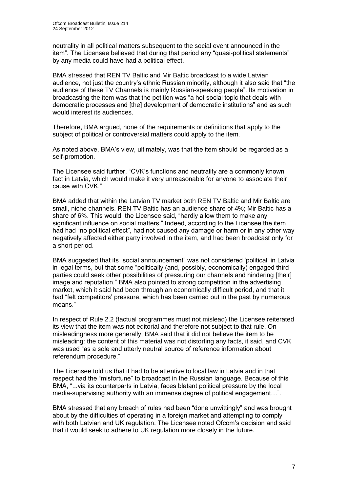neutrality in all political matters subsequent to the social event announced in the item". The Licensee believed that during that period any "quasi-political statements" by any media could have had a political effect.

BMA stressed that REN TV Baltic and Mir Baltic broadcast to a wide Latvian audience, not just the country's ethnic Russian minority, although it also said that "the audience of these TV Channels is mainly Russian-speaking people". Its motivation in broadcasting the item was that the petition was "a hot social topic that deals with democratic processes and [the] development of democratic institutions" and as such would interest its audiences.

Therefore, BMA argued, none of the requirements or definitions that apply to the subject of political or controversial matters could apply to the item.

As noted above, BMA's view, ultimately, was that the item should be regarded as a self-promotion.

The Licensee said further, "CVK's functions and neutrality are a commonly known fact in Latvia, which would make it very unreasonable for anyone to associate their cause with CVK."

BMA added that within the Latvian TV market both REN TV Baltic and Mir Baltic are small, niche channels. REN TV Baltic has an audience share of 4%; Mir Baltic has a share of 6%. This would, the Licensee said, "hardly allow them to make any significant influence on social matters." Indeed, according to the Licensee the item had had "no political effect", had not caused any damage or harm or in any other way negatively affected either party involved in the item, and had been broadcast only for a short period.

BMA suggested that its "social announcement" was not considered 'political' in Latvia in legal terms, but that some "politically (and, possibly, economically) engaged third parties could seek other possibilities of pressuring our channels and hindering [their] image and reputation." BMA also pointed to strong competition in the advertising market, which it said had been through an economically difficult period, and that it had "felt competitors' pressure, which has been carried out in the past by numerous means."

In respect of Rule 2.2 (factual programmes must not mislead) the Licensee reiterated its view that the item was not editorial and therefore not subject to that rule. On misleadingness more generally, BMA said that it did not believe the item to be misleading: the content of this material was not distorting any facts, it said, and CVK was used "as a sole and utterly neutral source of reference information about referendum procedure."

The Licensee told us that it had to be attentive to local law in Latvia and in that respect had the "misfortune" to broadcast in the Russian language. Because of this BMA, "...via its counterparts in Latvia, faces blatant political pressure by the local media-supervising authority with an immense degree of political engagement…".

BMA stressed that any breach of rules had been "done unwittingly" and was brought about by the difficulties of operating in a foreign market and attempting to comply with both Latvian and UK regulation. The Licensee noted Ofcom's decision and said that it would seek to adhere to UK regulation more closely in the future.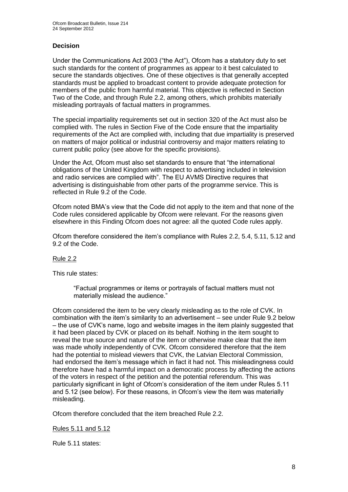# **Decision**

Under the Communications Act 2003 ("the Act"), Ofcom has a statutory duty to set such standards for the content of programmes as appear to it best calculated to secure the standards objectives. One of these objectives is that generally accepted standards must be applied to broadcast content to provide adequate protection for members of the public from harmful material. This objective is reflected in Section Two of the Code, and through Rule 2.2, among others, which prohibits materially misleading portrayals of factual matters in programmes.

The special impartiality requirements set out in section 320 of the Act must also be complied with. The rules in Section Five of the Code ensure that the impartiality requirements of the Act are complied with, including that due impartiality is preserved on matters of major political or industrial controversy and major matters relating to current public policy (see above for the specific provisions).

Under the Act, Ofcom must also set standards to ensure that "the international obligations of the United Kingdom with respect to advertising included in television and radio services are complied with". The EU AVMS Directive requires that advertising is distinguishable from other parts of the programme service. This is reflected in Rule 9.2 of the Code.

Ofcom noted BMA's view that the Code did not apply to the item and that none of the Code rules considered applicable by Ofcom were relevant. For the reasons given elsewhere in this Finding Ofcom does not agree: all the quoted Code rules apply.

Ofcom therefore considered the item's compliance with Rules 2.2, 5.4, 5.11, 5.12 and 9.2 of the Code.

## Rule 2.2

This rule states:

"Factual programmes or items or portrayals of factual matters must not materially mislead the audience."

Ofcom considered the item to be very clearly misleading as to the role of CVK. In combination with the item's similarity to an advertisement – see under Rule 9.2 below – the use of CVK's name, logo and website images in the item plainly suggested that it had been placed by CVK or placed on its behalf. Nothing in the item sought to reveal the true source and nature of the item or otherwise make clear that the item was made wholly independently of CVK. Ofcom considered therefore that the item had the potential to mislead viewers that CVK, the Latvian Electoral Commission, had endorsed the item's message which in fact it had not. This misleadingness could therefore have had a harmful impact on a democratic process by affecting the actions of the voters in respect of the petition and the potential referendum. This was particularly significant in light of Ofcom's consideration of the item under Rules 5.11 and 5.12 (see below). For these reasons, in Ofcom's view the item was materially misleading.

Ofcom therefore concluded that the item breached Rule 2.2.

Rules 5.11 and 5.12

Rule 5.11 states: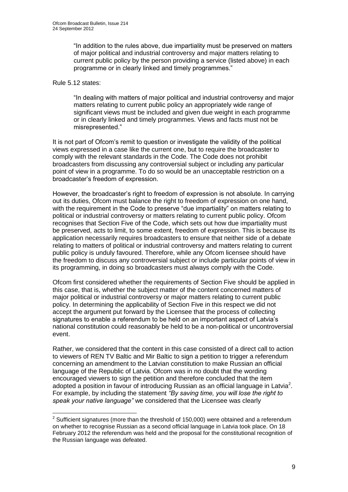"In addition to the rules above, due impartiality must be preserved on matters of major political and industrial controversy and major matters relating to current public policy by the person providing a service (listed above) in each programme or in clearly linked and timely programmes."

## Rule 5.12 states:

"In dealing with matters of major political and industrial controversy and major matters relating to current public policy an appropriately wide range of significant views must be included and given due weight in each programme or in clearly linked and timely programmes. Views and facts must not be misrepresented."

It is not part of Ofcom's remit to question or investigate the validity of the political views expressed in a case like the current one, but to require the broadcaster to comply with the relevant standards in the Code. The Code does not prohibit broadcasters from discussing any controversial subject or including any particular point of view in a programme. To do so would be an unacceptable restriction on a broadcaster's freedom of expression.

However, the broadcaster's right to freedom of expression is not absolute. In carrying out its duties, Ofcom must balance the right to freedom of expression on one hand, with the requirement in the Code to preserve "due impartiality" on matters relating to political or industrial controversy or matters relating to current public policy. Ofcom recognises that Section Five of the Code, which sets out how due impartiality must be preserved, acts to limit, to some extent, freedom of expression. This is because its application necessarily requires broadcasters to ensure that neither side of a debate relating to matters of political or industrial controversy and matters relating to current public policy is unduly favoured. Therefore, while any Ofcom licensee should have the freedom to discuss any controversial subject or include particular points of view in its programming, in doing so broadcasters must always comply with the Code.

Ofcom first considered whether the requirements of Section Five should be applied in this case, that is, whether the subject matter of the content concerned matters of major political or industrial controversy or major matters relating to current public policy. In determining the applicability of Section Five in this respect we did not accept the argument put forward by the Licensee that the process of collecting signatures to enable a referendum to be held on an important aspect of Latvia's national constitution could reasonably be held to be a non-political or uncontroversial event.

Rather, we considered that the content in this case consisted of a direct call to action to viewers of REN TV Baltic and Mir Baltic to sign a petition to trigger a referendum concerning an amendment to the Latvian constitution to make Russian an official language of the Republic of Latvia. Ofcom was in no doubt that the wording encouraged viewers to sign the petition and therefore concluded that the item adopted a position in favour of introducing Russian as an official language in Latvia<sup>2</sup>. For example, by including the statement *"By saving time, you will lose the right to speak your native language"* we considered that the Licensee was clearly

 2 Sufficient signatures (more than the threshold of 150,000) were obtained and a referendum on whether to recognise Russian as a second official language in Latvia took place. On 18 February 2012 the referendum was held and the proposal for the constitutional recognition of the Russian language was defeated.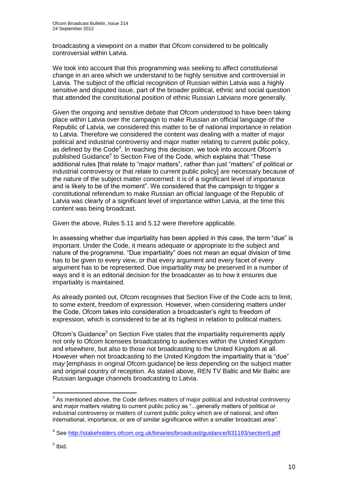broadcasting a viewpoint on a matter that Ofcom considered to be politically controversial within Latvia.

We took into account that this programming was seeking to affect constitutional change in an area which we understand to be highly sensitive and controversial in Latvia. The subject of the official recognition of Russian within Latvia was a highly sensitive and disputed issue, part of the broader political, ethnic and social question that attended the constitutional position of ethnic Russian Latvians more generally.

Given the ongoing and sensitive debate that Ofcom understood to have been taking place within Latvia over the campaign to make Russian an official language of the Republic of Latvia, we considered this matter to be of national importance in relation to Latvia. Therefore we considered the content was dealing with a matter of major political and industrial controversy and major matter relating to current public policy, as defined by the Code<sup>3</sup>. In reaching this decision, we took into account Ofcom's published Guidance<sup>4</sup> to Section Five of the Code, which explains that "These additional rules [that relate to "major matters", rather than just "matters" of political or industrial controversy or that relate to current public policy] are necessary because of the nature of the subject matter concerned: it is of a significant level of importance and is likely to be of the moment". We considered that the campaign to trigger a constitutional referendum to make Russian an official language of the Republic of Latvia was clearly of a significant level of importance within Latvia, at the time this content was being broadcast.

Given the above, Rules 5.11 and 5.12 were therefore applicable.

In assessing whether due impartiality has been applied in this case, the term "due" is important. Under the Code, it means adequate or appropriate to the subject and nature of the programme. "Due impartiality" does not mean an equal division of time has to be given to every view, or that every argument and every facet of every argument has to be represented. Due impartiality may be preserved in a number of ways and it is an editorial decision for the broadcaster as to how it ensures due impartiality is maintained.

As already pointed out, Ofcom recognises that Section Five of the Code acts to limit, to some extent, freedom of expression. However, when considering matters under the Code, Ofcom takes into consideration a broadcaster's right to freedom of expression, which is considered to be at its highest in relation to political matters.

Ofcom's Guidance<sup>5</sup> on Section Five states that the impartiality requirements apply not only to Ofcom licensees broadcasting to audiences within the United Kingdom and elsewhere, but also to those not broadcasting to the United Kingdom at all. However when not broadcasting to the United Kingdom the impartiality that is "due" *may* [emphasis in original Ofcom guidance] be less depending on the subject matter and original country of reception. As stated above, REN TV Baltic and Mir Baltic are Russian language channels broadcasting to Latvia.

1

 $3$  As mentioned above, the Code defines matters of major political and industrial controversy and major matters relating to current public policy as "...generally matters of political or industrial controversy or matters of current public policy which are of national, and often international, importance, or are of similar significance within a smaller broadcast area".

<sup>&</sup>lt;sup>4</sup> See<http://stakeholders.ofcom.org.uk/binaries/broadcast/guidance/831193/section5.pdf>

<sup>&</sup>lt;sup>5</sup> Ibid.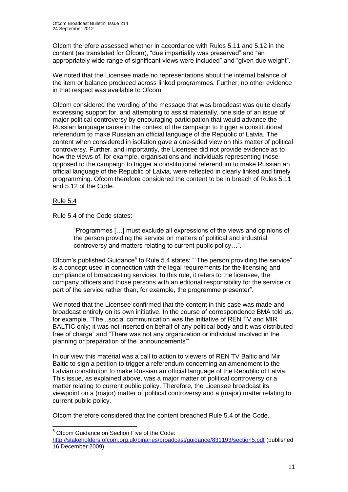Ofcom therefore assessed whether in accordance with Rules 5.11 and 5.12 in the content (as translated for Ofcom), "due impartiality was preserved" and "an appropriately wide range of significant views were included" and "given due weight".

We noted that the Licensee made no representations about the internal balance of the item or balance produced across linked programmes. Further, no other evidence in that respect was available to Ofcom.

Ofcom considered the wording of the message that was broadcast was quite clearly expressing support for, and attempting to assist materially, one side of an issue of major political controversy by encouraging participation that would advance the Russian language cause in the context of the campaign to trigger a constitutional referendum to make Russian an official language of the Republic of Latvia. The content when considered in isolation gave a one-sided view on this matter of political controversy. Further, and importantly, the Licensee did not provide evidence as to how the views of, for example, organisations and individuals representing those opposed to the campaign to trigger a constitutional referendum to make Russian an official language of the Republic of Latvia, were reflected in clearly linked and timely programming. Ofcom therefore considered the content to be in breach of Rules 5.11 and 5.12 of the Code.

# Rule 5.4

1

Rule 5.4 of the Code states:

"Programmes […] must exclude all expressions of the views and opinions of the person providing the service on matters of political and industrial controversy and matters relating to current public policy…".

Ofcom's published Guidance<sup>6</sup> to Rule 5.4 states: ""The person providing the service" is a concept used in connection with the legal requirements for the licensing and compliance of broadcasting services. In this rule, it refers to the licensee, the company officers and those persons with an editorial responsibility for the service or part of the service rather than, for example, the programme presenter"*.* 

We noted that the Licensee confirmed that the content in this case was made and broadcast entirely on its own initiative. In the course of correspondence BMA told us, for example, "The...social communication was the initiative of REN TV and MIR BALTIC only; it was not inserted on behalf of any political body and it was distributed free of charge" and "There was not any organization or individual involved in the planning or preparation of the 'announcements'".

In our view this material was a call to action to viewers of REN TV Baltic and Mir Baltic to sign a petition to trigger a referendum concerning an amendment to the Latvian constitution to make Russian an official language of the Republic of Latvia. This issue, as explained above, was a major matter of political controversy or a matter relating to current public policy. Therefore, the Licensee broadcast its viewpoint on a (major) matter of political controversy and a (major) matter relating to current public policy.

Ofcom therefore considered that the content breached Rule 5.4 of the Code.

 $6$  Ofcom Guidance on Section Five of the Code:

<http://stakeholders.ofcom.org.uk/binaries/broadcast/guidance/831193/section5.pdf> (published 16 December 2009)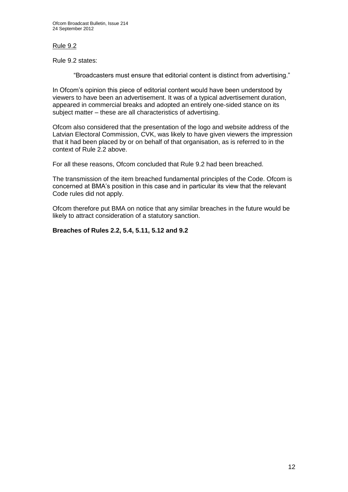# Rule 9.2

Rule 9.2 states:

"Broadcasters must ensure that editorial content is distinct from advertising."

In Ofcom's opinion this piece of editorial content would have been understood by viewers to have been an advertisement. It was of a typical advertisement duration, appeared in commercial breaks and adopted an entirely one-sided stance on its subject matter – these are all characteristics of advertising.

Ofcom also considered that the presentation of the logo and website address of the Latvian Electoral Commission, CVK, was likely to have given viewers the impression that it had been placed by or on behalf of that organisation, as is referred to in the context of Rule 2.2 above.

For all these reasons, Ofcom concluded that Rule 9.2 had been breached.

The transmission of the item breached fundamental principles of the Code. Ofcom is concerned at BMA's position in this case and in particular its view that the relevant Code rules did not apply.

Ofcom therefore put BMA on notice that any similar breaches in the future would be likely to attract consideration of a statutory sanction.

## **Breaches of Rules 2.2, 5.4, 5.11, 5.12 and 9.2**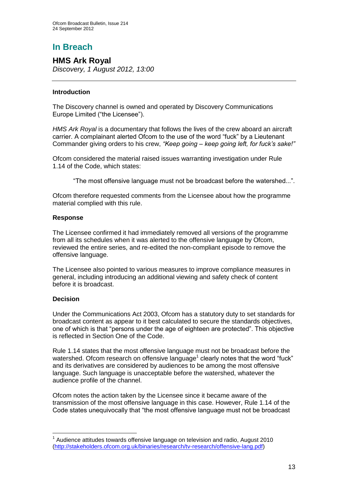# **In Breach**

# **HMS Ark Royal**

*Discovery, 1 August 2012, 13:00*

## **Introduction**

The Discovery channel is owned and operated by Discovery Communications Europe Limited ("the Licensee").

*HMS Ark Royal* is a documentary that follows the lives of the crew aboard an aircraft carrier. A complainant alerted Ofcom to the use of the word "fuck" by a Lieutenant Commander giving orders to his crew, *"Keep going – keep going left, for fuck's sake!"*

Ofcom considered the material raised issues warranting investigation under Rule 1.14 of the Code, which states:

"The most offensive language must not be broadcast before the watershed...".

Ofcom therefore requested comments from the Licensee about how the programme material complied with this rule.

## **Response**

The Licensee confirmed it had immediately removed all versions of the programme from all its schedules when it was alerted to the offensive language by Ofcom, reviewed the entire series, and re-edited the non-compliant episode to remove the offensive language.

The Licensee also pointed to various measures to improve compliance measures in general, including introducing an additional viewing and safety check of content before it is broadcast.

## **Decision**

1

Under the Communications Act 2003, Ofcom has a statutory duty to set standards for broadcast content as appear to it best calculated to secure the standards objectives, one of which is that "persons under the age of eighteen are protected". This objective is reflected in Section One of the Code.

Rule 1.14 states that the most offensive language must not be broadcast before the watershed. Ofcom research on offensive language<sup>1</sup> clearly notes that the word "fuck" and its derivatives are considered by audiences to be among the most offensive language. Such language is unacceptable before the watershed, whatever the audience profile of the channel.

Ofcom notes the action taken by the Licensee since it became aware of the transmission of the most offensive language in this case. However, Rule 1.14 of the Code states unequivocally that "the most offensive language must not be broadcast

 $1$  Audience attitudes towards offensive language on television and radio, August 2010 [\(http://stakeholders.ofcom.org.uk/binaries/research/tv-research/offensive-lang.pdf\)](http://stakeholders.ofcom.org.uk/binaries/research/tv-research/offensive-lang.pdf)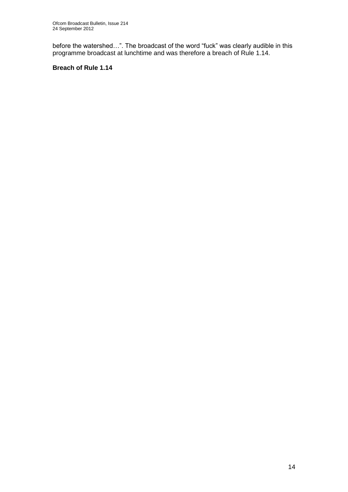before the watershed…". The broadcast of the word "fuck" was clearly audible in this programme broadcast at lunchtime and was therefore a breach of Rule 1.14.

# **Breach of Rule 1.14**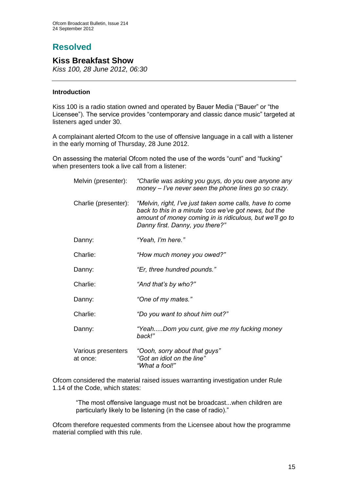# **Resolved**

# **Kiss Breakfast Show**

*Kiss 100, 28 June 2012, 06:30*

# **Introduction**

Kiss 100 is a radio station owned and operated by Bauer Media ("Bauer" or "the Licensee"). The service provides "contemporary and classic dance music" targeted at listeners aged under 30.

A complainant alerted Ofcom to the use of offensive language in a call with a listener in the early morning of Thursday, 28 June 2012.

On assessing the material Ofcom noted the use of the words "cunt" and "fucking" when presenters took a live call from a listener:

| Melvin (presenter):            | "Charlie was asking you guys, do you owe anyone any<br>money – I've never seen the phone lines go so crazy.                                                                                                      |
|--------------------------------|------------------------------------------------------------------------------------------------------------------------------------------------------------------------------------------------------------------|
| Charlie (presenter):           | "Melvin, right, I've just taken some calls, have to come<br>back to this in a minute 'cos we've got news, but the<br>amount of money coming in is ridiculous, but we'll go to<br>Danny first. Danny, you there?" |
| Danny:                         | "Yeah, I'm here."                                                                                                                                                                                                |
| Charlie:                       | "How much money you owed?"                                                                                                                                                                                       |
| Danny:                         | "Er, three hundred pounds."                                                                                                                                                                                      |
| Charlie:                       | "And that's by who?"                                                                                                                                                                                             |
| Danny:                         | "One of my mates."                                                                                                                                                                                               |
| Charlie:                       | "Do you want to shout him out?"                                                                                                                                                                                  |
| Danny:                         | "YeahDom you cunt, give me my fucking money<br>back!"                                                                                                                                                            |
| Various presenters<br>at once: | "Oooh, sorry about that guys"<br>"Got an idiot on the line"<br>"What a fool!"                                                                                                                                    |

Ofcom considered the material raised issues warranting investigation under Rule 1.14 of the Code, which states:

"The most offensive language must not be broadcast...when children are particularly likely to be listening (in the case of radio)."

Ofcom therefore requested comments from the Licensee about how the programme material complied with this rule.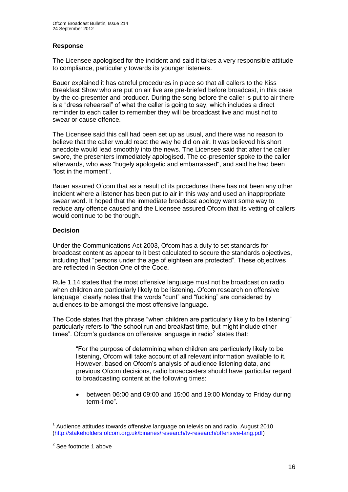# **Response**

The Licensee apologised for the incident and said it takes a very responsible attitude to compliance, particularly towards its younger listeners.

Bauer explained it has careful procedures in place so that all callers to the Kiss Breakfast Show who are put on air live are pre-briefed before broadcast, in this case by the co-presenter and producer. During the song before the caller is put to air there is a "dress rehearsal" of what the caller is going to say, which includes a direct reminder to each caller to remember they will be broadcast live and must not to swear or cause offence.

The Licensee said this call had been set up as usual, and there was no reason to believe that the caller would react the way he did on air. It was believed his short anecdote would lead smoothly into the news. The Licensee said that after the caller swore, the presenters immediately apologised. The co-presenter spoke to the caller afterwards, who was "hugely apologetic and embarrassed", and said he had been "lost in the moment".

Bauer assured Ofcom that as a result of its procedures there has not been any other incident where a listener has been put to air in this way and used an inappropriate swear word. It hoped that the immediate broadcast apology went some way to reduce any offence caused and the Licensee assured Ofcom that its vetting of callers would continue to be thorough.

## **Decision**

Under the Communications Act 2003, Ofcom has a duty to set standards for broadcast content as appear to it best calculated to secure the standards objectives, including that "persons under the age of eighteen are protected". These objectives are reflected in Section One of the Code.

Rule 1.14 states that the most offensive language must not be broadcast on radio when children are particularly likely to be listening. Ofcom research on offensive language<sup>1</sup> clearly notes that the words "cunt" and "fucking" are considered by audiences to be amongst the most offensive language.

The Code states that the phrase "when children are particularly likely to be listening" particularly refers to "the school run and breakfast time, but might include other times". Ofcom's guidance on offensive language in radio<sup>2</sup> states that:

"For the purpose of determining when children are particularly likely to be listening, Ofcom will take account of all relevant information available to it. However, based on Ofcom's analysis of audience listening data, and previous Ofcom decisions, radio broadcasters should have particular regard to broadcasting content at the following times:

 between 06:00 and 09:00 and 15:00 and 19:00 Monday to Friday during term-time".

<sup>1</sup> 1 Audience attitudes towards offensive language on television and radio, August 2010 [\(http://stakeholders.ofcom.org.uk/binaries/research/tv-research/offensive-lang.pdf\)](http://stakeholders.ofcom.org.uk/binaries/research/tv-research/offensive-lang.pdf)

<sup>&</sup>lt;sup>2</sup> See footnote 1 above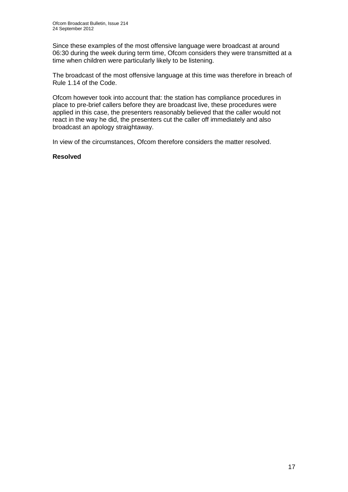Since these examples of the most offensive language were broadcast at around 06:30 during the week during term time, Ofcom considers they were transmitted at a time when children were particularly likely to be listening.

The broadcast of the most offensive language at this time was therefore in breach of Rule 1.14 of the Code.

Ofcom however took into account that: the station has compliance procedures in place to pre-brief callers before they are broadcast live, these procedures were applied in this case, the presenters reasonably believed that the caller would not react in the way he did, the presenters cut the caller off immediately and also broadcast an apology straightaway.

In view of the circumstances, Ofcom therefore considers the matter resolved.

## **Resolved**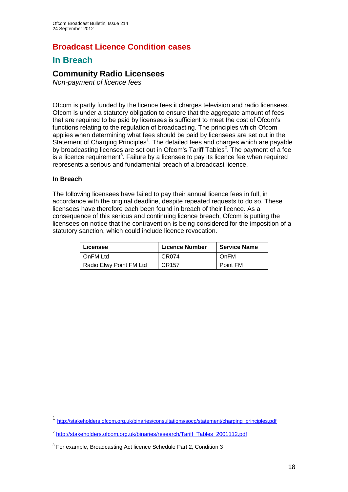# **Broadcast Licence Condition cases**

# **In Breach**

# **Community Radio Licensees**

*Non-payment of licence fees* 

Ofcom is partly funded by the licence fees it charges television and radio licensees. Ofcom is under a statutory obligation to ensure that the aggregate amount of fees that are required to be paid by licensees is sufficient to meet the cost of Ofcom's functions relating to the regulation of broadcasting. The principles which Ofcom applies when determining what fees should be paid by licensees are set out in the Statement of Charging Principles<sup>1</sup>. The detailed fees and charges which are payable by broadcasting licenses are set out in Ofcom's Tariff Tables<sup>2</sup>. The payment of a fee is a licence requirement<sup>3</sup>. Failure by a licensee to pay its licence fee when required represents a serious and fundamental breach of a broadcast licence.

## **In Breach**

1

The following licensees have failed to pay their annual licence fees in full, in accordance with the original deadline, despite repeated requests to do so. These licensees have therefore each been found in breach of their licence. As a consequence of this serious and continuing licence breach, Ofcom is putting the licensees on notice that the contravention is being considered for the imposition of a statutory sanction, which could include licence revocation.

| Licensee                | <b>Licence Number</b> | <b>Service Name</b> |
|-------------------------|-----------------------|---------------------|
| l OnFM Ltd              | CR074                 | OnFM                |
| Radio Elwy Point FM Ltd | CR157                 | Point FM            |

<sup>1</sup> [http://stakeholders.ofcom.org.uk/binaries/consultations/socp/statement/charging\\_principles.pdf](http://stakeholders.ofcom.org.uk/binaries/consultations/socp/statement/charging_principles.pdf) 

<sup>&</sup>lt;sup>2</sup> [http://stakeholders.ofcom.org.uk/binaries/research/Tariff\\_Tables\\_2001112.pdf](http://stakeholders.ofcom.org.uk/binaries/research/Tariff_Tables_2001112.pdf)

 $3$  For example, Broadcasting Act licence Schedule Part 2, Condition 3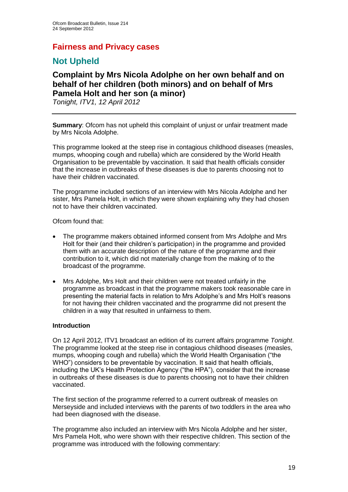# **Fairness and Privacy cases**

# **Not Upheld**

# **Complaint by Mrs Nicola Adolphe on her own behalf and on behalf of her children (both minors) and on behalf of Mrs Pamela Holt and her son (a minor)**

*Tonight, ITV1, 12 April 2012*

**Summary**: Ofcom has not upheld this complaint of unjust or unfair treatment made by Mrs Nicola Adolphe.

This programme looked at the steep rise in contagious childhood diseases (measles, mumps, whooping cough and rubella) which are considered by the World Health Organisation to be preventable by vaccination. It said that health officials consider that the increase in outbreaks of these diseases is due to parents choosing not to have their children vaccinated.

The programme included sections of an interview with Mrs Nicola Adolphe and her sister, Mrs Pamela Holt, in which they were shown explaining why they had chosen not to have their children vaccinated.

Ofcom found that:

- The programme makers obtained informed consent from Mrs Adolphe and Mrs Holt for their (and their children's participation) in the programme and provided them with an accurate description of the nature of the programme and their contribution to it, which did not materially change from the making of to the broadcast of the programme.
- Mrs Adolphe, Mrs Holt and their children were not treated unfairly in the programme as broadcast in that the programme makers took reasonable care in presenting the material facts in relation to Mrs Adolphe's and Mrs Holt's reasons for not having their children vaccinated and the programme did not present the children in a way that resulted in unfairness to them.

#### **Introduction**

On 12 April 2012, ITV1 broadcast an edition of its current affairs programme *Tonight*. The programme looked at the steep rise in contagious childhood diseases (measles, mumps, whooping cough and rubella) which the World Health Organisation ("the WHO") considers to be preventable by vaccination. It said that health officials, including the UK's Health Protection Agency ("the HPA"), consider that the increase in outbreaks of these diseases is due to parents choosing not to have their children vaccinated.

The first section of the programme referred to a current outbreak of measles on Merseyside and included interviews with the parents of two toddlers in the area who had been diagnosed with the disease.

The programme also included an interview with Mrs Nicola Adolphe and her sister, Mrs Pamela Holt, who were shown with their respective children. This section of the programme was introduced with the following commentary: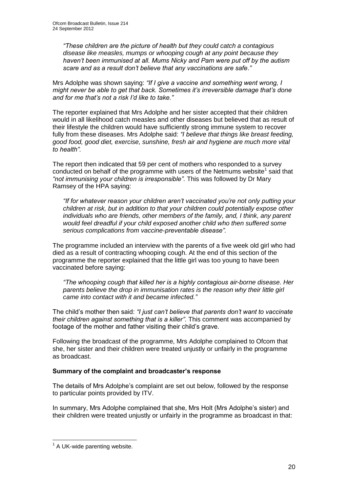*"These children are the picture of health but they could catch a contagious disease like measles, mumps or whooping cough at any point because they haven't been immunised at all. Mums Nicky and Pam were put off by the autism scare and as a result don't believe that any vaccinations are safe*.*"*

Mrs Adolphe was shown saying: *"If I give a vaccine and something went wrong, I might never be able to get that back. Sometimes it's irreversible damage that's done and for me that's not a risk I'd like to take."* 

The reporter explained that Mrs Adolphe and her sister accepted that their children would in all likelihood catch measles and other diseases but believed that as result of their lifestyle the children would have sufficiently strong immune system to recover fully from these diseases. Mrs Adolphe said: *"I believe that things like breast feeding, good food, good diet, exercise, sunshine, fresh air and hygiene are much more vital to health".*

The report then indicated that 59 per cent of mothers who responded to a survey conducted on behalf of the programme with users of the Netmums website<sup>1</sup> said that *"not immunising your children is irresponsible"*. This was followed by Dr Mary Ramsey of the HPA saying:

*"If for whatever reason your children aren't vaccinated you're not only putting your children at risk, but in addition to that your children could potentially expose other individuals who are friends, other members of the family, and, I think, any parent would feel dreadful if your child exposed another child who then suffered some serious complications from vaccine-preventable disease".*

The programme included an interview with the parents of a five week old girl who had died as a result of contracting whooping cough. At the end of this section of the programme the reporter explained that the little girl was too young to have been vaccinated before saying:

*"The whooping cough that killed her is a highly contagious air-borne disease. Her parents believe the drop in immunisation rates is the reason why their little girl came into contact with it and became infected."* 

The child's mother then said: *"I just can't believe that parents don't want to vaccinate their children against something that is a killer"*. This comment was accompanied by footage of the mother and father visiting their child's grave.

Following the broadcast of the programme, Mrs Adolphe complained to Ofcom that she, her sister and their children were treated unjustly or unfairly in the programme as broadcast.

# **Summary of the complaint and broadcaster's response**

The details of Mrs Adolphe's complaint are set out below, followed by the response to particular points provided by ITV.

In summary, Mrs Adolphe complained that she, Mrs Holt (Mrs Adolphe's sister) and their children were treated unjustly or unfairly in the programme as broadcast in that:

<sup>1</sup>  $<sup>1</sup>$  A UK-wide parenting website.</sup>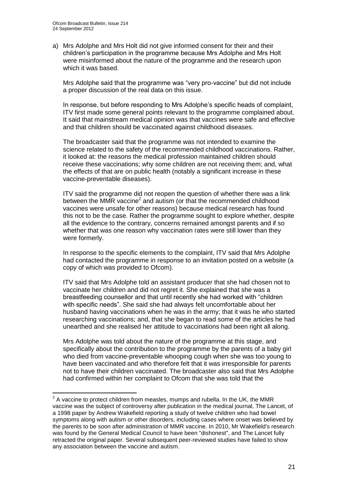1

a) Mrs Adolphe and Mrs Holt did not give informed consent for their and their children's participation in the programme because Mrs Adolphe and Mrs Holt were misinformed about the nature of the programme and the research upon which it was based.

Mrs Adolphe said that the programme was "very pro-vaccine" but did not include a proper discussion of the real data on this issue.

In response, but before responding to Mrs Adolphe's specific heads of complaint, ITV first made some general points relevant to the programme complained about. It said that mainstream medical opinion was that vaccines were safe and effective and that children should be vaccinated against childhood diseases.

The broadcaster said that the programme was not intended to examine the science related to the safety of the recommended childhood vaccinations. Rather, it looked at: the reasons the medical profession maintained children should receive these vaccinations; why some children are not receiving them; and, what the effects of that are on public health (notably a significant increase in these vaccine-preventable diseases).

ITV said the programme did not reopen the question of whether there was a link between the MMR vaccine<sup>2</sup> and autism (or that the recommended childhood vaccines were unsafe for other reasons) because medical research has found this not to be the case. Rather the programme sought to explore whether, despite all the evidence to the contrary, concerns remained amongst parents and if so whether that was one reason why vaccination rates were still lower than they were formerly.

In response to the specific elements to the complaint, ITV said that Mrs Adolphe had contacted the programme in response to an invitation posted on a website (a copy of which was provided to Ofcom).

ITV said that Mrs Adolphe told an assistant producer that she had chosen not to vaccinate her children and did not regret it. She explained that she was a breastfeeding counsellor and that until recently she had worked with "children with specific needs". She said she had always felt uncomfortable about her husband having vaccinations when he was in the army; that it was he who started researching vaccinations; and, that she began to read some of the articles he had unearthed and she realised her attitude to vaccinations had been right all along.

Mrs Adolphe was told about the nature of the programme at this stage, and specifically about the contribution to the programme by the parents of a baby girl who died from vaccine-preventable whooping cough when she was too young to have been vaccinated and who therefore felt that it was irresponsible for parents not to have their children vaccinated. The broadcaster also said that Mrs Adolphe had confirmed within her complaint to Ofcom that she was told that the

 $2$  A vaccine to protect children from measles, mumps and rubella. In the [UK,](http://en.wikipedia.org/wiki/United_Kingdom) the MMR vaccine was the subject of controversy after publication in the medical journal, The Lancet, of a 1998 paper by [Andrew Wakefield](http://en.wikipedia.org/wiki/Andrew_Wakefield) reporting a study of twelve children who had bowel symptoms along with [autism](http://en.wikipedia.org/wiki/Autism_spectrum) or other disorders, including cases where onset was believed by the parents to be soon after administration of MMR vaccine. In 2010, Mr Wakefield's research was found by the [General Medical Council](http://en.wikipedia.org/wiki/General_Medical_Council) to have been "dishonest", and [The Lancet](http://en.wikipedia.org/wiki/The_Lancet) fully retracted the original paper. Several subsequent peer-reviewed studies have failed to show any association between the vaccine and autism.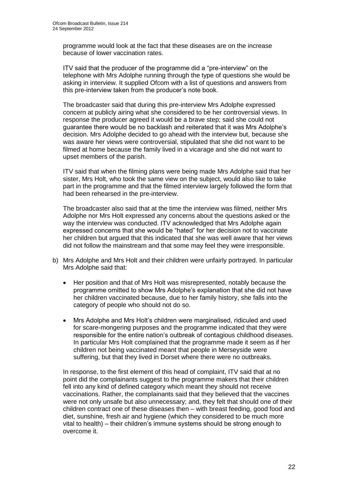programme would look at the fact that these diseases are on the increase because of lower vaccination rates.

ITV said that the producer of the programme did a "pre-interview" on the telephone with Mrs Adolphe running through the type of questions she would be asking in interview. It supplied Ofcom with a list of questions and answers from this pre-interview taken from the producer's note book.

The broadcaster said that during this pre-interview Mrs Adolphe expressed concern at publicly airing what she considered to be her controversial views. In response the producer agreed it would be a brave step; said she could not guarantee there would be no backlash and reiterated that it was Mrs Adolphe's decision. Mrs Adolphe decided to go ahead with the interview but, because she was aware her views were controversial, stipulated that she did not want to be filmed at home because the family lived in a vicarage and she did not want to upset members of the parish.

ITV said that when the filming plans were being made Mrs Adolphe said that her sister, Mrs Holt, who took the same view on the subject, would also like to take part in the programme and that the filmed interview largely followed the form that had been rehearsed in the pre-interview.

The broadcaster also said that at the time the interview was filmed, neither Mrs Adolphe nor Mrs Holt expressed any concerns about the questions asked or the way the interview was conducted. ITV acknowledged that Mrs Adolphe again expressed concerns that she would be "hated" for her decision not to vaccinate her children but argued that this indicated that she was well aware that her views did not follow the mainstream and that some may feel they were irresponsible.

- b) Mrs Adolphe and Mrs Holt and their children were unfairly portrayed. In particular Mrs Adolphe said that:
	- Her position and that of Mrs Holt was misrepresented, notably because the programme omitted to show Mrs Adolphe's explanation that she did not have her children vaccinated because, due to her family history, she falls into the category of people who should not do so.
	- Mrs Adolphe and Mrs Holt's children were marginalised, ridiculed and used for scare-mongering purposes and the programme indicated that they were responsible for the entire nation's outbreak of contagious childhood diseases. In particular Mrs Holt complained that the programme made it seem as if her children not being vaccinated meant that people in Merseyside were suffering, but that they lived in Dorset where there were no outbreaks.

In response, to the first element of this head of complaint, ITV said that at no point did the complainants suggest to the programme makers that their children fell into any kind of defined category which meant they should not receive vaccinations. Rather, the complainants said that they believed that the vaccines were not only unsafe but also unnecessary; and, they felt that should one of their children contract one of these diseases then – with breast feeding, good food and diet, sunshine, fresh air and hygiene (which they considered to be much more vital to health) – their children's immune systems should be strong enough to overcome it.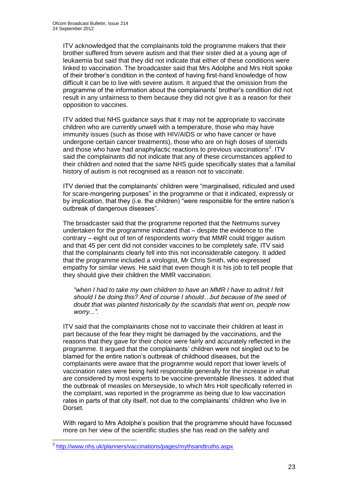ITV acknowledged that the complainants told the programme makers that their brother suffered from severe autism and that their sister died at a young age of leukaemia but said that they did not indicate that either of these conditions were linked to vaccination. The broadcaster said that Mrs Adolphe and Mrs Holt spoke of their brother's condition in the context of having first-hand knowledge of how difficult it can be to live with severe autism. It argued that the omission from the programme of the information about the complainants' brother's condition did not result in any unfairness to them because they did not give it as a reason for their opposition to vaccines.

ITV added that NHS guidance says that it may not be appropriate to vaccinate children who are currently unwell with a temperature, those who may have immunity issues (such as those with HIV/AIDS or who have cancer or have undergone certain cancer treatments), those who are on high doses of steroids and those who have had anaphylactic reactions to previous vaccinations<sup>3</sup>. ITV said the complainants did not indicate that any of these circumstances applied to their children and noted that the same NHS guide specifically states that a familial history of autism is not recognised as a reason not to vaccinate.

ITV denied that the complainants' children were "marginalised, ridiculed and used for scare-mongering purposes" in the programme or that it indicated, expressly or by implication, that they (i.e. the children) "were responsible for the entire nation's outbreak of dangerous diseases".

The broadcaster said that the programme reported that the Netmums survey undertaken for the programme indicated that – despite the evidence to the contrary – eight out of ten of respondents worry that MMR could trigger autism and that 45 per cent did not consider vaccines to be completely safe. ITV said that the complainants clearly fell into this not inconsiderable category. It added that the programme included a virologist, Mr Chris Smith, who expressed empathy for similar views. He said that even though it is his job to tell people that they should give their children the MMR vaccination:

*"when I had to take my own children to have an MMR I have to admit I felt should I be doing this? And of course I should…but because of the seed of doubt that was planted historically by the scandals that went on, people now worry...".*

ITV said that the complainants chose not to vaccinate their children at least in part because of the fear they might be damaged by the vaccinations, and the reasons that they gave for their choice were fairly and accurately reflected in the programme. It argued that the complainants' children were not singled out to be blamed for the entire nation's outbreak of childhood diseases, but the complainants were aware that the programme would report that lower levels of vaccination rates were being held responsible generally for the increase in what are considered by most experts to be vaccine-preventable illnesses. It added that the outbreak of measles on Merseyside, to which Mrs Holt specifically referred in the complaint, was reported in the programme as being due to low vaccination rates in parts of that city itself, not due to the complainants' children who live in Dorset.

With regard to Mrs Adolphe's position that the programme should have focussed more on her view of the scientific studies she has read on the safety and

 3 <http://www.nhs.uk/planners/vaccinations/pages/mythsandtruths.aspx>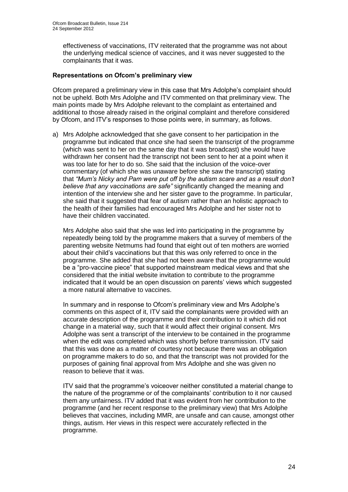effectiveness of vaccinations, ITV reiterated that the programme was not about the underlying medical science of vaccines, and it was never suggested to the complainants that it was.

### **Representations on Ofcom's preliminary view**

Ofcom prepared a preliminary view in this case that Mrs Adolphe's complaint should not be upheld. Both Mrs Adolphe and ITV commented on that preliminary view. The main points made by Mrs Adolphe relevant to the complaint as entertained and additional to those already raised in the original complaint and therefore considered by Ofcom, and ITV's responses to those points were, in summary, as follows.

a) Mrs Adolphe acknowledged that she gave consent to her participation in the programme but indicated that once she had seen the transcript of the programme (which was sent to her on the same day that it was broadcast) she would have withdrawn her consent had the transcript not been sent to her at a point when it was too late for her to do so. She said that the inclusion of the voice-over commentary (of which she was unaware before she saw the transcript) stating that *"Mum's Nicky and Pam were put off by the autism scare and as a result don't believe that any vaccinations are safe"* significantly changed the meaning and intention of the interview she and her sister gave to the programme. In particular, she said that it suggested that fear of autism rather than an holistic approach to the health of their families had encouraged Mrs Adolphe and her sister not to have their children vaccinated.

Mrs Adolphe also said that she was led into participating in the programme by repeatedly being told by the programme makers that a survey of members of the parenting website Netmums had found that eight out of ten mothers are worried about their child's vaccinations but that this was only referred to once in the programme. She added that she had not been aware that the programme would be a "pro-vaccine piece" that supported mainstream medical views and that she considered that the initial website invitation to contribute to the programme indicated that it would be an open discussion on parents' views which suggested a more natural alternative to vaccines.

In summary and in response to Ofcom's preliminary view and Mrs Adolphe's comments on this aspect of it, ITV said the complainants were provided with an accurate description of the programme and their contribution to it which did not change in a material way, such that it would affect their original consent. Mrs Adolphe was sent a transcript of the interview to be contained in the programme when the edit was completed which was shortly before transmission. ITV said that this was done as a matter of courtesy not because there was an obligation on programme makers to do so, and that the transcript was not provided for the purposes of gaining final approval from Mrs Adolphe and she was given no reason to believe that it was.

ITV said that the programme's voiceover neither constituted a material change to the nature of the programme or of the complainants' contribution to it nor caused them any unfairness. ITV added that it was evident from her contribution to the programme (and her recent response to the preliminary view) that Mrs Adolphe believes that vaccines, including MMR, are unsafe and can cause, amongst other things, autism. Her views in this respect were accurately reflected in the programme.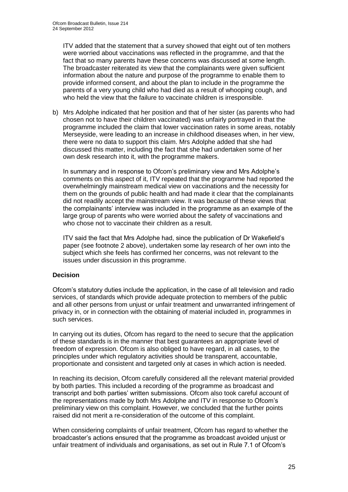ITV added that the statement that a survey showed that eight out of ten mothers were worried about vaccinations was reflected in the programme, and that the fact that so many parents have these concerns was discussed at some length. The broadcaster reiterated its view that the complainants were given sufficient information about the nature and purpose of the programme to enable them to provide informed consent, and about the plan to include in the programme the parents of a very young child who had died as a result of whooping cough, and who held the view that the failure to vaccinate children is irresponsible.

b) Mrs Adolphe indicated that her position and that of her sister (as parents who had chosen not to have their children vaccinated) was unfairly portrayed in that the programme included the claim that lower vaccination rates in some areas, notably Merseyside, were leading to an increase in childhood diseases when, in her view, there were no data to support this claim. Mrs Adolphe added that she had discussed this matter, including the fact that she had undertaken some of her own desk research into it, with the programme makers.

In summary and in response to Ofcom's preliminary view and Mrs Adolphe's comments on this aspect of it, ITV repeated that the programme had reported the overwhelmingly mainstream medical view on vaccinations and the necessity for them on the grounds of public health and had made it clear that the complainants did not readily accept the mainstream view. It was because of these views that the complainants' interview was included in the programme as an example of the large group of parents who were worried about the safety of vaccinations and who chose not to vaccinate their children as a result.

ITV said the fact that Mrs Adolphe had, since the publication of Dr Wakefield's paper (see footnote 2 above), undertaken some lay research of her own into the subject which she feels has confirmed her concerns, was not relevant to the issues under discussion in this programme.

## **Decision**

Ofcom's statutory duties include the application, in the case of all television and radio services, of standards which provide adequate protection to members of the public and all other persons from unjust or unfair treatment and unwarranted infringement of privacy in, or in connection with the obtaining of material included in, programmes in such services.

In carrying out its duties, Ofcom has regard to the need to secure that the application of these standards is in the manner that best guarantees an appropriate level of freedom of expression. Ofcom is also obliged to have regard, in all cases, to the principles under which regulatory activities should be transparent, accountable, proportionate and consistent and targeted only at cases in which action is needed.

In reaching its decision, Ofcom carefully considered all the relevant material provided by both parties. This included a recording of the programme as broadcast and transcript and both parties' written submissions. Ofcom also took careful account of the representations made by both Mrs Adolphe and ITV in response to Ofcom's preliminary view on this complaint. However, we concluded that the further points raised did not merit a re-consideration of the outcome of this complaint.

When considering complaints of unfair treatment, Ofcom has regard to whether the broadcaster's actions ensured that the programme as broadcast avoided unjust or unfair treatment of individuals and organisations, as set out in Rule 7.1 of Ofcom's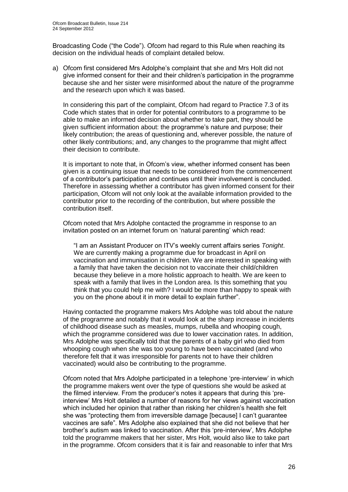Broadcasting Code ("the Code"). Ofcom had regard to this Rule when reaching its decision on the individual heads of complaint detailed below.

a) Ofcom first considered Mrs Adolphe's complaint that she and Mrs Holt did not give informed consent for their and their children's participation in the programme because she and her sister were misinformed about the nature of the programme and the research upon which it was based.

In considering this part of the complaint, Ofcom had regard to Practice 7.3 of its Code which states that in order for potential contributors to a programme to be able to make an informed decision about whether to take part, they should be given sufficient information about: the programme's nature and purpose; their likely contribution; the areas of questioning and, wherever possible, the nature of other likely contributions; and, any changes to the programme that might affect their decision to contribute.

It is important to note that, in Ofcom's view, whether informed consent has been given is a continuing issue that needs to be considered from the commencement of a contributor's participation and continues until their involvement is concluded. Therefore in assessing whether a contributor has given informed consent for their participation, Ofcom will not only look at the available information provided to the contributor prior to the recording of the contribution, but where possible the contribution itself.

Ofcom noted that Mrs Adolphe contacted the programme in response to an invitation posted on an internet forum on 'natural parenting' which read:

"I am an Assistant Producer on ITV's weekly current affairs series *Tonight*. We are currently making a programme due for broadcast in April on vaccination and immunisation in children. We are interested in speaking with a family that have taken the decision not to vaccinate their child/children because they believe in a more holistic approach to health. We are keen to speak with a family that lives in the London area. Is this something that you think that you could help me with? I would be more than happy to speak with you on the phone about it in more detail to explain further".

Having contacted the programme makers Mrs Adolphe was told about the nature of the programme and notably that it would look at the sharp increase in incidents of childhood disease such as measles, mumps, rubella and whooping cough, which the programme considered was due to lower vaccination rates. In addition, Mrs Adolphe was specifically told that the parents of a baby girl who died from whooping cough when she was too young to have been vaccinated (and who therefore felt that it was irresponsible for parents not to have their children vaccinated) would also be contributing to the programme.

Ofcom noted that Mrs Adolphe participated in a telephone 'pre-interview' in which the programme makers went over the type of questions she would be asked at the filmed interview. From the producer's notes it appears that during this 'preinterview' Mrs Holt detailed a number of reasons for her views against vaccination which included her opinion that rather than risking her children's health she felt she was "protecting them from irreversible damage [because] I can't guarantee vaccines are safe". Mrs Adolphe also explained that she did not believe that her brother's autism was linked to vaccination. After this 'pre-interview', Mrs Adolphe told the programme makers that her sister, Mrs Holt, would also like to take part in the programme. Ofcom considers that it is fair and reasonable to infer that Mrs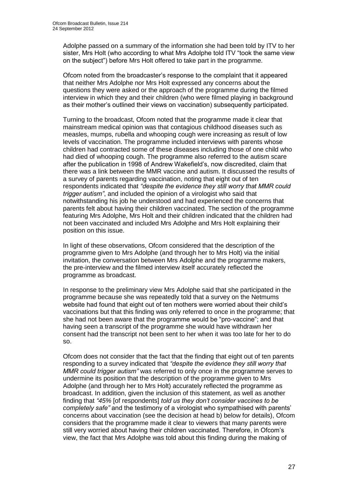Adolphe passed on a summary of the information she had been told by ITV to her sister, Mrs Holt (who according to what Mrs Adolphe told ITV "took the same view on the subject") before Mrs Holt offered to take part in the programme.

Ofcom noted from the broadcaster's response to the complaint that it appeared that neither Mrs Adolphe nor Mrs Holt expressed any concerns about the questions they were asked or the approach of the programme during the filmed interview in which they and their children (who were filmed playing in background as their mother's outlined their views on vaccination) subsequently participated.

Turning to the broadcast, Ofcom noted that the programme made it clear that mainstream medical opinion was that contagious childhood diseases such as measles, mumps, rubella and whooping cough were increasing as result of low levels of vaccination. The programme included interviews with parents whose children had contracted some of these diseases including those of one child who had died of whooping cough. The programme also referred to the autism scare after the publication in 1998 of Andrew Wakefield's, now discredited, claim that there was a link between the MMR vaccine and autism. It discussed the results of a survey of parents regarding vaccination, noting that eight out of ten respondents indicated that *"despite the evidence they still worry that MMR could trigger autism"*, and included the opinion of a virologist who said that notwithstanding his job he understood and had experienced the concerns that parents felt about having their children vaccinated. The section of the programme featuring Mrs Adolphe, Mrs Holt and their children indicated that the children had not been vaccinated and included Mrs Adolphe and Mrs Holt explaining their position on this issue.

In light of these observations, Ofcom considered that the description of the programme given to Mrs Adolphe (and through her to Mrs Holt) via the initial invitation, the conversation between Mrs Adolphe and the programme makers, the pre-interview and the filmed interview itself accurately reflected the programme as broadcast.

In response to the preliminary view Mrs Adolphe said that she participated in the programme because she was repeatedly told that a survey on the Netmums website had found that eight out of ten mothers were worried about their child's vaccinations but that this finding was only referred to once in the programme; that she had not been aware that the programme would be "pro-vaccine"; and that having seen a transcript of the programme she would have withdrawn her consent had the transcript not been sent to her when it was too late for her to do so.

Ofcom does not consider that the fact that the finding that eight out of ten parents responding to a survey indicated that *"despite the evidence they still worry that MMR could trigger autism"* was referred to only once in the programme serves to undermine its position that the description of the programme given to Mrs Adolphe (and through her to Mrs Holt) accurately reflected the programme as broadcast. In addition, given the inclusion of this statement, as well as another finding that *"45%* [of respondents] *told us they don't consider vaccines to be completely safe"* and the testimony of a virologist who sympathised with parents' concerns about vaccination (see the decision at head b) below for details), Ofcom considers that the programme made it clear to viewers that many parents were still very worried about having their children vaccinated. Therefore, in Ofcom's view, the fact that Mrs Adolphe was told about this finding during the making of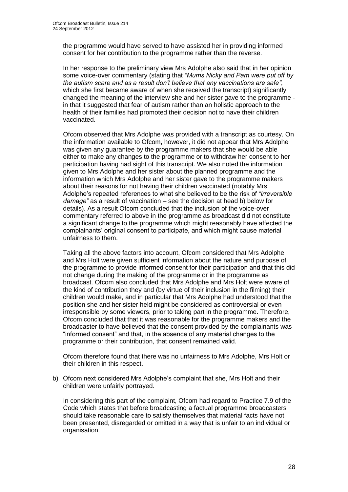the programme would have served to have assisted her in providing informed consent for her contribution to the programme rather than the reverse.

In her response to the preliminary view Mrs Adolphe also said that in her opinion some voice-over commentary (stating that *"Mums Nicky and Pam were put off by the autism scare and as a result don't believe that any vaccinations are safe"*, which she first became aware of when she received the transcript) significantly changed the meaning of the interview she and her sister gave to the programme in that it suggested that fear of autism rather than an holistic approach to the health of their families had promoted their decision not to have their children vaccinated.

Ofcom observed that Mrs Adolphe was provided with a transcript as courtesy. On the information available to Ofcom, however, it did not appear that Mrs Adolphe was given any guarantee by the programme makers that she would be able either to make any changes to the programme or to withdraw her consent to her participation having had sight of this transcript. We also noted the information given to Mrs Adolphe and her sister about the planned programme and the information which Mrs Adolphe and her sister gave to the programme makers about their reasons for not having their children vaccinated (notably Mrs Adolphe's repeated references to what she believed to be the risk of *"irreversible damage"* as a result of vaccination – see the decision at head b) below for details). As a result Ofcom concluded that the inclusion of the voice-over commentary referred to above in the programme as broadcast did not constitute a significant change to the programme which might reasonably have affected the complainants' original consent to participate, and which might cause material unfairness to them.

Taking all the above factors into account, Ofcom considered that Mrs Adolphe and Mrs Holt were given sufficient information about the nature and purpose of the programme to provide informed consent for their participation and that this did not change during the making of the programme or in the programme as broadcast. Ofcom also concluded that Mrs Adolphe and Mrs Holt were aware of the kind of contribution they and (by virtue of their inclusion in the filming) their children would make, and in particular that Mrs Adolphe had understood that the position she and her sister held might be considered as controversial or even irresponsible by some viewers, prior to taking part in the programme. Therefore, Ofcom concluded that that it was reasonable for the programme makers and the broadcaster to have believed that the consent provided by the complainants was "informed consent" and that, in the absence of any material changes to the programme or their contribution, that consent remained valid.

Ofcom therefore found that there was no unfairness to Mrs Adolphe, Mrs Holt or their children in this respect.

b) Ofcom next considered Mrs Adolphe's complaint that she, Mrs Holt and their children were unfairly portrayed.

In considering this part of the complaint, Ofcom had regard to Practice 7.9 of the Code which states that before broadcasting a factual programme broadcasters should take reasonable care to satisfy themselves that material facts have not been presented, disregarded or omitted in a way that is unfair to an individual or organisation.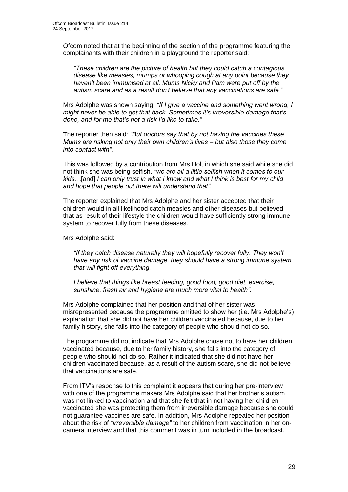Ofcom noted that at the beginning of the section of the programme featuring the complainants with their children in a playground the reporter said:

*"These children are the picture of health but they could catch a contagious disease like measles, mumps or whooping cough at any point because they haven't been immunised at all. Mums Nicky and Pam were put off by the autism scare and as a result don't believe that any vaccinations are safe."* 

Mrs Adolphe was shown saying: *"If I give a vaccine and something went wrong, I might never be able to get that back. Sometimes it's irreversible damage that's done, and for me that's not a risk I'd like to take."* 

The reporter then said: *"But doctors say that by not having the vaccines these Mums are risking not only their own children's lives – but also those they come into contact with".* 

This was followed by a contribution from Mrs Holt in which she said while she did not think she was being selfish, *"we are all a little selfish when it comes to our kids…*[and] *I can only trust in what I know and what I think is best for my child and hope that people out there will understand that"*.

The reporter explained that Mrs Adolphe and her sister accepted that their children would in all likelihood catch measles and other diseases but believed that as result of their lifestyle the children would have sufficiently strong immune system to recover fully from these diseases.

Mrs Adolphe said:

*"If they catch disease naturally they will hopefully recover fully. They won't have any risk of vaccine damage, they should have a strong immune system that will fight off everything.* 

*I believe that things like breast feeding, good food, good diet, exercise, sunshine, fresh air and hygiene are much more vital to health".*

Mrs Adolphe complained that her position and that of her sister was misrepresented because the programme omitted to show her (i.e. Mrs Adolphe's) explanation that she did not have her children vaccinated because, due to her family history, she falls into the category of people who should not do so.

The programme did not indicate that Mrs Adolphe chose not to have her children vaccinated because, due to her family history, she falls into the category of people who should not do so. Rather it indicated that she did not have her children vaccinated because, as a result of the autism scare, she did not believe that vaccinations are safe.

From ITV's response to this complaint it appears that during her pre-interview with one of the programme makers Mrs Adolphe said that her brother's autism was not linked to vaccination and that she felt that in not having her children vaccinated she was protecting them from irreversible damage because she could not guarantee vaccines are safe. In addition, Mrs Adolphe repeated her position about the risk of *"irreversible damage"* to her children from vaccination in her oncamera interview and that this comment was in turn included in the broadcast.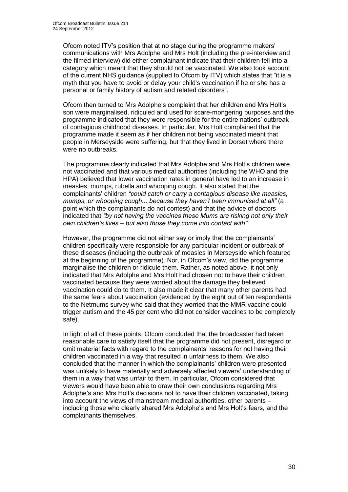Ofcom noted ITV's position that at no stage during the programme makers' communications with Mrs Adolphe and Mrs Holt (including the pre-interview and the filmed interview) did either complainant indicate that their children fell into a category which meant that they should not be vaccinated. We also took account of the current NHS guidance (supplied to Ofcom by ITV) which states that "it is a myth that you have to avoid or delay your child's vaccination if he or she has a personal or family history of [autism and related disorders"](http://www.nhs.uk/Livewell/autism/Pages/autismhome.aspx).

Ofcom then turned to Mrs Adolphe's complaint that her children and Mrs Holt's son were marginalised, ridiculed and used for scare-mongering purposes and the programme indicated that they were responsible for the entire nations' outbreak of contagious childhood diseases. In particular, Mrs Holt complained that the programme made it seem as if her children not being vaccinated meant that people in Merseyside were suffering, but that they lived in Dorset where there were no outbreaks.

The programme clearly indicated that Mrs Adolphe and Mrs Holt's children were not vaccinated and that various medical authorities (including the WHO and the HPA) believed that lower vaccination rates in general have led to an increase in measles, mumps, rubella and whooping cough. It also stated that the complainants' children *"could catch or carry a contagious disease like measles, mumps, or whooping cough... because they haven't been immunised at all"* (a point which the complainants do not contest) and that the advice of doctors indicated that *"by not having the vaccines these Mums are risking not only their own children's lives – but also those they come into contact with".* 

However, the programme did not either say or imply that the complainants' children specifically were responsible for any particular incident or outbreak of these diseases (including the outbreak of measles in Merseyside which featured at the beginning of the programme). Nor, in Ofcom's view, did the programme marginalise the children or ridicule them. Rather, as noted above, it not only indicated that Mrs Adolphe and Mrs Holt had chosen not to have their children vaccinated because they were worried about the damage they believed vaccination could do to them. It also made it clear that many other parents had the same fears about vaccination (evidenced by the eight out of ten respondents to the Netmums survey who said that they worried that the MMR vaccine could trigger autism and the 45 per cent who did not consider vaccines to be completely safe).

In light of all of these points, Ofcom concluded that the broadcaster had taken reasonable care to satisfy itself that the programme did not present, disregard or omit material facts with regard to the complainants' reasons for not having their children vaccinated in a way that resulted in unfairness to them. We also concluded that the manner in which the complainants' children were presented was unlikely to have materially and adversely affected viewers' understanding of them in a way that was unfair to them. In particular, Ofcom considered that viewers would have been able to draw their own conclusions regarding Mrs Adolphe's and Mrs Holt's decisions not to have their children vaccinated, taking into account the views of mainstream medical authorities, other parents – including those who clearly shared Mrs Adolphe's and Mrs Holt's fears, and the complainants themselves.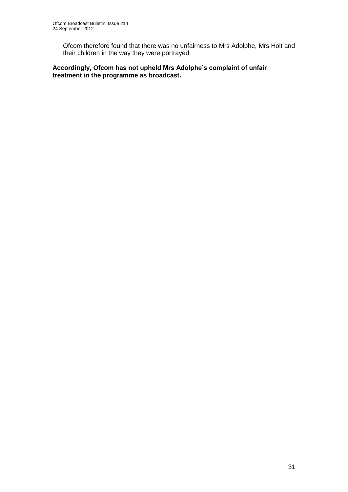Ofcom therefore found that there was no unfairness to Mrs Adolphe, Mrs Holt and their children in the way they were portrayed.

# **Accordingly, Ofcom has not upheld Mrs Adolphe's complaint of unfair treatment in the programme as broadcast.**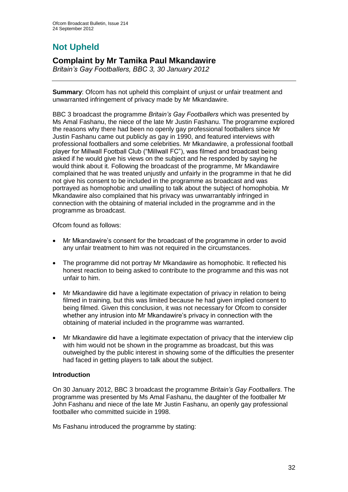# **Not Upheld**

# **Complaint by Mr Tamika Paul Mkandawire**

*Britain's Gay Footballers, BBC 3, 30 January 2012*

**Summary**: Ofcom has not upheld this complaint of unjust or unfair treatment and unwarranted infringement of privacy made by Mr Mkandawire.

BBC 3 broadcast the programme *Britain's Gay Footballers* which was presented by Ms Amal Fashanu, the niece of the late Mr Justin Fashanu. The programme explored the reasons why there had been no openly gay professional footballers since Mr Justin Fashanu came out publicly as gay in 1990, and featured interviews with professional footballers and some celebrities. Mr Mkandawire, a professional football player for Millwall Football Club ("Millwall FC"), was filmed and broadcast being asked if he would give his views on the subject and he responded by saying he would think about it. Following the broadcast of the programme, Mr Mkandawire complained that he was treated unjustly and unfairly in the programme in that he did not give his consent to be included in the programme as broadcast and was portrayed as homophobic and unwilling to talk about the subject of homophobia. Mr Mkandawire also complained that his privacy was unwarrantably infringed in connection with the obtaining of material included in the programme and in the programme as broadcast.

Ofcom found as follows:

- Mr Mkandawire's consent for the broadcast of the programme in order to avoid any unfair treatment to him was not required in the circumstances.
- The programme did not portray Mr Mkandawire as homophobic. It reflected his honest reaction to being asked to contribute to the programme and this was not unfair to him.
- Mr Mkandawire did have a legitimate expectation of privacy in relation to being filmed in training, but this was limited because he had given implied consent to being filmed. Given this conclusion, it was not necessary for Ofcom to consider whether any intrusion into Mr Mkandawire's privacy in connection with the obtaining of material included in the programme was warranted.
- Mr Mkandawire did have a legitimate expectation of privacy that the interview clip with him would not be shown in the programme as broadcast, but this was outweighed by the public interest in showing some of the difficulties the presenter had faced in getting players to talk about the subject.

# **Introduction**

On 30 January 2012, BBC 3 broadcast the programme *Britain's Gay Footballers*. The programme was presented by Ms Amal Fashanu, the daughter of the footballer Mr John Fashanu and niece of the late Mr Justin Fashanu, an openly gay professional footballer who committed suicide in 1998.

Ms Fashanu introduced the programme by stating: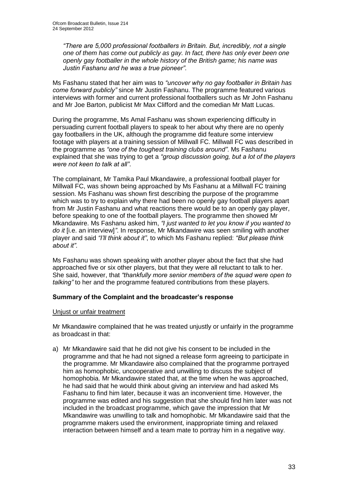*"There are 5,000 professional footballers in Britain. But, incredibly, not a single one of them has come out publicly as gay. In fact, there has only ever been one openly gay footballer in the whole history of the British game; his name was Justin Fashanu and he was a true pioneer"*.

Ms Fashanu stated that her aim was to *"uncover why no gay footballer in Britain has come forward publicly"* since Mr Justin Fashanu. The programme featured various interviews with former and current professional footballers such as Mr John Fashanu and Mr Joe Barton, publicist Mr Max Clifford and the comedian Mr Matt Lucas.

During the programme, Ms Amal Fashanu was shown experiencing difficulty in persuading current football players to speak to her about why there are no openly gay footballers in the UK, although the programme did feature some interview footage with players at a training session of Millwall FC. Millwall FC was described in the programme as *"one of the toughest training clubs around"*. Ms Fashanu explained that she was trying to get a *"group discussion going, but a lot of the players were not keen to talk at all"*.

The complainant, Mr Tamika Paul Mkandawire, a professional football player for Millwall FC, was shown being approached by Ms Fashanu at a Millwall FC training session. Ms Fashanu was shown first describing the purpose of the programme which was to try to explain why there had been no openly gay football players apart from Mr Justin Fashanu and what reactions there would be to an openly gay player, before speaking to one of the football players. The programme then showed Mr Mkandawire. Ms Fashanu asked him, *"I just wanted to let you know if you wanted to do it* [i.e. an interview]*"*. In response, Mr Mkandawire was seen smiling with another player and said *"I'll think about it"*, to which Ms Fashanu replied: *"But please think about it"*.

Ms Fashanu was shown speaking with another player about the fact that she had approached five or six other players, but that they were all reluctant to talk to her. She said, however, that *"thankfully more senior members of the squad were open to talking"* to her and the programme featured contributions from these players.

## **Summary of the Complaint and the broadcaster's response**

#### Unjust or unfair treatment

Mr Mkandawire complained that he was treated unjustly or unfairly in the programme as broadcast in that:

a) Mr Mkandawire said that he did not give his consent to be included in the programme and that he had not signed a release form agreeing to participate in the programme. Mr Mkandawire also complained that the programme portrayed him as homophobic, uncooperative and unwilling to discuss the subject of homophobia. Mr Mkandawire stated that, at the time when he was approached, he had said that he would think about giving an interview and had asked Ms Fashanu to find him later, because it was an inconvenient time. However, the programme was edited and his suggestion that she should find him later was not included in the broadcast programme, which gave the impression that Mr Mkandawire was unwilling to talk and homophobic. Mr Mkandawire said that the programme makers used the environment, inappropriate timing and relaxed interaction between himself and a team mate to portray him in a negative way.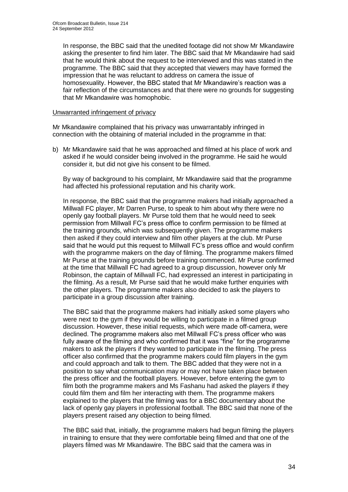In response, the BBC said that the unedited footage did not show Mr Mkandawire asking the presenter to find him later. The BBC said that Mr Mkandawire had said that he would think about the request to be interviewed and this was stated in the programme. The BBC said that they accepted that viewers may have formed the impression that he was reluctant to address on camera the issue of homosexuality. However, the BBC stated that Mr Mkandawire's reaction was a fair reflection of the circumstances and that there were no grounds for suggesting that Mr Mkandawire was homophobic.

#### Unwarranted infringement of privacy

Mr Mkandawire complained that his privacy was unwarrantably infringed in connection with the obtaining of material included in the programme in that:

b) Mr Mkandawire said that he was approached and filmed at his place of work and asked if he would consider being involved in the programme. He said he would consider it, but did not give his consent to be filmed.

By way of background to his complaint, Mr Mkandawire said that the programme had affected his professional reputation and his charity work.

In response, the BBC said that the programme makers had initially approached a Millwall FC player, Mr Darren Purse, to speak to him about why there were no openly gay football players. Mr Purse told them that he would need to seek permission from Millwall FC's press office to confirm permission to be filmed at the training grounds, which was subsequently given. The programme makers then asked if they could interview and film other players at the club. Mr Purse said that he would put this request to Millwall FC's press office and would confirm with the programme makers on the day of filming. The programme makers filmed Mr Purse at the training grounds before training commenced. Mr Purse confirmed at the time that Millwall FC had agreed to a group discussion, however only Mr Robinson, the captain of Millwall FC, had expressed an interest in participating in the filming. As a result, Mr Purse said that he would make further enquiries with the other players. The programme makers also decided to ask the players to participate in a group discussion after training.

The BBC said that the programme makers had initially asked some players who were next to the gym if they would be willing to participate in a filmed group discussion. However, these initial requests, which were made off-camera, were declined. The programme makers also met Millwall FC's press officer who was fully aware of the filming and who confirmed that it was "fine" for the programme makers to ask the players if they wanted to participate in the filming. The press officer also confirmed that the programme makers could film players in the gym and could approach and talk to them. The BBC added that they were not in a position to say what communication may or may not have taken place between the press officer and the football players. However, before entering the gym to film both the programme makers and Ms Fashanu had asked the players if they could film them and film her interacting with them. The programme makers explained to the players that the filming was for a BBC documentary about the lack of openly gay players in professional football. The BBC said that none of the players present raised any objection to being filmed.

The BBC said that, initially, the programme makers had begun filming the players in training to ensure that they were comfortable being filmed and that one of the players filmed was Mr Mkandawire. The BBC said that the camera was in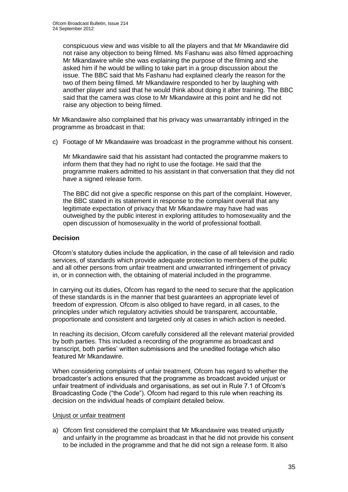conspicuous view and was visible to all the players and that Mr Mkandawire did not raise any objection to being filmed. Ms Fashanu was also filmed approaching Mr Mkandawire while she was explaining the purpose of the filming and she asked him if he would be willing to take part in a group discussion about the issue. The BBC said that Ms Fashanu had explained clearly the reason for the two of them being filmed. Mr Mkandawire responded to her by laughing with another player and said that he would think about doing it after training. The BBC said that the camera was close to Mr Mkandawire at this point and he did not raise any objection to being filmed.

Mr Mkandawire also complained that his privacy was unwarrantably infringed in the programme as broadcast in that:

c) Footage of Mr Mkandawire was broadcast in the programme without his consent.

Mr Mkandawire said that his assistant had contacted the programme makers to inform them that they had no right to use the footage. He said that the programme makers admitted to his assistant in that conversation that they did not have a signed release form.

The BBC did not give a specific response on this part of the complaint. However, the BBC stated in its statement in response to the complaint overall that any legitimate expectation of privacy that Mr Mkandawire may have had was outweighed by the public interest in exploring attitudes to homosexuality and the open discussion of homosexuality in the world of professional football.

# **Decision**

Ofcom's statutory duties include the application, in the case of all television and radio services, of standards which provide adequate protection to members of the public and all other persons from unfair treatment and unwarranted infringement of privacy in, or in connection with, the obtaining of material included in the programme.

In carrying out its duties, Ofcom has regard to the need to secure that the application of these standards is in the manner that best guarantees an appropriate level of freedom of expression. Ofcom is also obliged to have regard, in all cases, to the principles under which regulatory activities should be transparent, accountable, proportionate and consistent and targeted only at cases in which action is needed.

In reaching its decision, Ofcom carefully considered all the relevant material provided by both parties. This included a recording of the programme as broadcast and transcript, both parties' written submissions and the unedited footage which also featured Mr Mkandawire.

When considering complaints of unfair treatment, Ofcom has regard to whether the broadcaster's actions ensured that the programme as broadcast avoided unjust or unfair treatment of individuals and organisations, as set out in Rule 7.1 of Ofcom's Broadcasting Code ("the Code"). Ofcom had regard to this rule when reaching its decision on the individual heads of complaint detailed below.

## Unjust or unfair treatment

a) Ofcom first considered the complaint that Mr Mkandawire was treated unjustly and unfairly in the programme as broadcast in that he did not provide his consent to be included in the programme and that he did not sign a release form. It also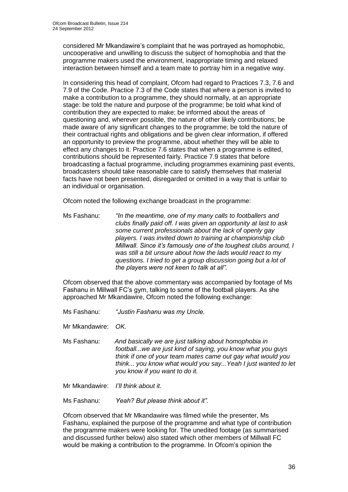considered Mr Mkandawire's complaint that he was portrayed as homophobic, uncooperative and unwilling to discuss the subject of homophobia and that the programme makers used the environment, inappropriate timing and relaxed interaction between himself and a team mate to portray him in a negative way.

In considering this head of complaint, Ofcom had regard to Practices 7.3, 7.6 and 7.9 of the Code. Practice 7.3 of the Code states that where a person is invited to make a contribution to a programme, they should normally, at an appropriate stage: be told the nature and purpose of the programme; be told what kind of contribution they are expected to make; be informed about the areas of questioning and, wherever possible, the nature of other likely contributions; be made aware of any significant changes to the programme; be told the nature of their contractual rights and obligations and be given clear information, if offered an opportunity to preview the programme, about whether they will be able to effect any changes to it. Practice 7.6 states that when a programme is edited, contributions should be represented fairly. Practice 7.9 states that before broadcasting a factual programme, including programmes examining past events, broadcasters should take reasonable care to satisfy themselves that material facts have not been presented, disregarded or omitted in a way that is unfair to an individual or organisation.

Ofcom noted the following exchange broadcast in the programme:

Ms Fashanu: *"In the meantime, one of my many calls to footballers and clubs finally paid off. I was given an opportunity at last to ask some current professionals about the lack of openly gay players. I was invited down to training at championship club Millwall. Since it's famously one of the toughest clubs around, I was still a bit unsure about how the lads would react to my questions. I tried to get a group discussion going but a lot of the players were not keen to talk at all".*

Ofcom observed that the above commentary was accompanied by footage of Ms Fashanu in Millwall FC's gym, talking to some of the football players. As she approached Mr Mkandawire, Ofcom noted the following exchange:

Ms Fashanu: *"Justin Fashanu was my Uncle.*

Mr Mkandawire: *OK.*

Ms Fashanu: *And basically we are just talking about homophobia in football...we are just kind of saying, you know what you guys think if one of your team mates came out gay what would you think... you know what would you say...Yeah I just wanted to let you know if you want to do it.*

Mr Mkandawire: *I'll think about it.*

Ms Fashanu: *Yeah? But please think about it"*.

Ofcom observed that Mr Mkandawire was filmed while the presenter, Ms Fashanu, explained the purpose of the programme and what type of contribution the programme makers were looking for. The unedited footage (as summarised and discussed further below) also stated which other members of Millwall FC would be making a contribution to the programme. In Ofcom's opinion the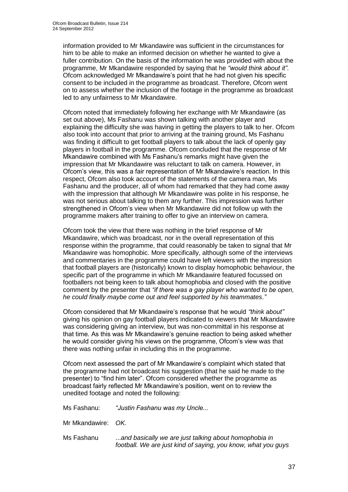information provided to Mr Mkandawire was sufficient in the circumstances for him to be able to make an informed decision on whether he wanted to give a fuller contribution. On the basis of the information he was provided with about the programme, Mr Mkandawire responded by saying that he *"would think about it"*. Ofcom acknowledged Mr Mkandawire's point that he had not given his specific consent to be included in the programme as broadcast. Therefore, Ofcom went on to assess whether the inclusion of the footage in the programme as broadcast led to any unfairness to Mr Mkandawire.

Ofcom noted that immediately following her exchange with Mr Mkandawire (as set out above), Ms Fashanu was shown talking with another player and explaining the difficulty she was having in getting the players to talk to her. Ofcom also took into account that prior to arriving at the training ground, Ms Fashanu was finding it difficult to get football players to talk about the lack of openly gay players in football in the programme. Ofcom concluded that the response of Mr Mkandawire combined with Ms Fashanu's remarks might have given the impression that Mr Mkandawire was reluctant to talk on camera. However, in Ofcom's view, this was a fair representation of Mr Mkandawire's reaction. In this respect, Ofcom also took account of the statements of the camera man, Ms Fashanu and the producer, all of whom had remarked that they had come away with the impression that although Mr Mkandawire was polite in his response, he was not serious about talking to them any further. This impression was further strengthened in Ofcom's view when Mr Mkandawire did not follow up with the programme makers after training to offer to give an interview on camera.

Ofcom took the view that there was nothing in the brief response of Mr Mkandawire, which was broadcast, nor in the overall representation of this response within the programme, that could reasonably be taken to signal that Mr Mkandawire was homophobic. More specifically, although some of the interviews and commentaries in the programme could have left viewers with the impression that football players are (historically) known to display homophobic behaviour, the specific part of the programme in which Mr Mkandawire featured focussed on footballers not being keen to talk about homophobia and closed with the positive comment by the presenter that *"if there was a gay player who wanted to be open, he could finally maybe come out and feel supported by his teammates*.*"*

Ofcom considered that Mr Mkandawire's response that he would *"think about"* giving his opinion on gay football players indicated to viewers that Mr Mkandawire was considering giving an interview, but was non-committal in his response at that time. As this was Mr Mkandawire's genuine reaction to being asked whether he would consider giving his views on the programme, Ofcom's view was that there was nothing unfair in including this in the programme.

Ofcom next assessed the part of Mr Mkandawire's complaint which stated that the programme had not broadcast his suggestion (that he said he made to the presenter) to "find him later". Ofcom considered whether the programme as broadcast fairly reflected Mr Mkandawire's position, went on to review the unedited footage and noted the following:

Ms Fashanu: *"Justin Fashanu was my Uncle...*

Mr Mkandawire: *OK.*

Ms Fashanu ...*and basically we are just talking about homophobia in football. We are just kind of saying, you know, what you guys*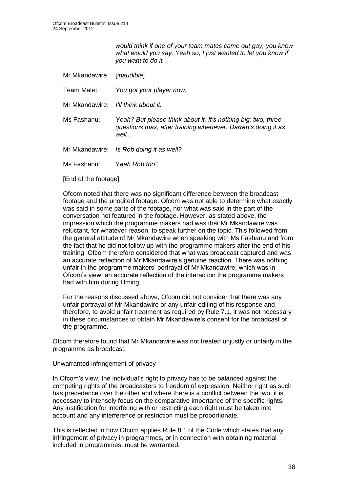*would think if one of your team mates came out gay, you know what would you say. Yeah so, I just wanted to let you know if you want to do it.*

Mr Mkandawire [*inaudible*]

Team Mate: *You got your player now.*

- Mr Mkandawire: *I'll think about it.*
- Ms Fashanu: *Yeah? But please think about it. It's nothing big; two, three questions max, after training whenever. Darren's doing it as well...*

Mr Mkandawire: *Is Rob doing it as well?*

Ms Fashanu: Y*eah Rob too"*.

[End of the footage]

Ofcom noted that there was no significant difference between the broadcast footage and the unedited footage. Ofcom was not able to determine what exactly was said in some parts of the footage, nor what was said in the part of the conversation not featured in the footage. However, as stated above, the impression which the programme makers had was that Mr Mkandawire was reluctant, for whatever reason, to speak further on the topic. This followed from the general attitude of Mr Mkandawire when speaking with Ms Fashanu and from the fact that he did not follow up with the programme makers after the end of his training. Ofcom therefore considered that what was broadcast captured and was an accurate reflection of Mr Mkandawire's genuine reaction. There was nothing unfair in the programme makers' portrayal of Mr Mkandawire, which was in Ofcom's view, an accurate reflection of the interaction the programme makers had with him during filming.

For the reasons discussed above, Ofcom did not consider that there was any unfair portrayal of Mr Mkandawire or any unfair editing of his response and therefore, to avoid unfair treatment as required by Rule 7.1, it was not necessary in these circumstances to obtain Mr Mkandawire's consent for the broadcast of the programme.

Ofcom therefore found that Mr Mkandawire was not treated unjustly or unfairly in the programme as broadcast.

#### Unwarranted infringement of privacy

In Ofcom's view, the individual's right to privacy has to be balanced against the competing rights of the broadcasters to freedom of expression. Neither right as such has precedence over the other and where there is a conflict between the two, it is necessary to intensely focus on the comparative importance of the specific rights. Any justification for interfering with or restricting each right must be taken into account and any interference or restriction must be proportionate.

This is reflected in how Ofcom applies Rule 8.1 of the Code which states that any infringement of privacy in programmes, or in connection with obtaining material included in programmes, must be warranted.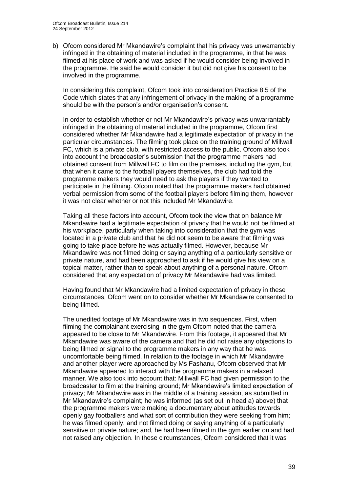b) Ofcom considered Mr Mkandawire's complaint that his privacy was unwarrantably infringed in the obtaining of material included in the programme, in that he was filmed at his place of work and was asked if he would consider being involved in the programme. He said he would consider it but did not give his consent to be involved in the programme.

In considering this complaint, Ofcom took into consideration Practice 8.5 of the Code which states that any infringement of privacy in the making of a programme should be with the person's and/or organisation's consent.

In order to establish whether or not Mr Mkandawire's privacy was unwarrantably infringed in the obtaining of material included in the programme, Ofcom first considered whether Mr Mkandawire had a legitimate expectation of privacy in the particular circumstances. The filming took place on the training ground of Millwall FC, which is a private club, with restricted access to the public. Ofcom also took into account the broadcaster's submission that the programme makers had obtained consent from Millwall FC to film on the premises, including the gym, but that when it came to the football players themselves, the club had told the programme makers they would need to ask the players if they wanted to participate in the filming. Ofcom noted that the programme makers had obtained verbal permission from some of the football players before filming them, however it was not clear whether or not this included Mr Mkandawire.

Taking all these factors into account, Ofcom took the view that on balance Mr Mkandawire had a legitimate expectation of privacy that he would not be filmed at his workplace, particularly when taking into consideration that the gym was located in a private club and that he did not seem to be aware that filming was going to take place before he was actually filmed. However, because Mr Mkandawire was not filmed doing or saying anything of a particularly sensitive or private nature, and had been approached to ask if he would give his view on a topical matter, rather than to speak about anything of a personal nature, Ofcom considered that any expectation of privacy Mr Mkandawire had was limited.

Having found that Mr Mkandawire had a limited expectation of privacy in these circumstances, Ofcom went on to consider whether Mr Mkandawire consented to being filmed.

The unedited footage of Mr Mkandawire was in two sequences. First, when filming the complainant exercising in the gym Ofcom noted that the camera appeared to be close to Mr Mkandawire. From this footage, it appeared that Mr Mkandawire was aware of the camera and that he did not raise any objections to being filmed or signal to the programme makers in any way that he was uncomfortable being filmed. In relation to the footage in which Mr Mkandawire and another player were approached by Ms Fashanu, Ofcom observed that Mr Mkandawire appeared to interact with the programme makers in a relaxed manner. We also took into account that: Millwall FC had given permission to the broadcaster to film at the training ground; Mr Mkandawire's limited expectation of privacy; Mr Mkandawire was in the middle of a training session, as submitted in Mr Mkandawire's complaint; he was informed (as set out in head a) above) that the programme makers were making a documentary about attitudes towards openly gay footballers and what sort of contribution they were seeking from him; he was filmed openly, and not filmed doing or saying anything of a particularly sensitive or private nature; and, he had been filmed in the gym earlier on and had not raised any objection. In these circumstances, Ofcom considered that it was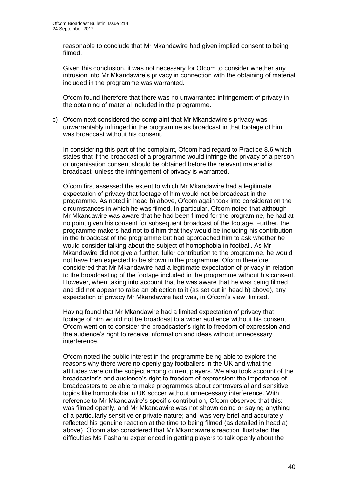reasonable to conclude that Mr Mkandawire had given implied consent to being filmed.

Given this conclusion, it was not necessary for Ofcom to consider whether any intrusion into Mr Mkandawire's privacy in connection with the obtaining of material included in the programme was warranted.

Ofcom found therefore that there was no unwarranted infringement of privacy in the obtaining of material included in the programme.

c) Ofcom next considered the complaint that Mr Mkandawire's privacy was unwarrantably infringed in the programme as broadcast in that footage of him was broadcast without his consent.

In considering this part of the complaint, Ofcom had regard to Practice 8.6 which states that if the broadcast of a programme would infringe the privacy of a person or organisation consent should be obtained before the relevant material is broadcast, unless the infringement of privacy is warranted.

Ofcom first assessed the extent to which Mr Mkandawire had a legitimate expectation of privacy that footage of him would not be broadcast in the programme. As noted in head b) above, Ofcom again took into consideration the circumstances in which he was filmed. In particular, Ofcom noted that although Mr Mkandawire was aware that he had been filmed for the programme, he had at no point given his consent for subsequent broadcast of the footage. Further, the programme makers had not told him that they would be including his contribution in the broadcast of the programme but had approached him to ask whether he would consider talking about the subject of homophobia in football. As Mr Mkandawire did not give a further, fuller contribution to the programme, he would not have then expected to be shown in the programme. Ofcom therefore considered that Mr Mkandawire had a legitimate expectation of privacy in relation to the broadcasting of the footage included in the programme without his consent. However, when taking into account that he was aware that he was being filmed and did not appear to raise an objection to it (as set out in head b) above), any expectation of privacy Mr Mkandawire had was, in Ofcom's view, limited.

Having found that Mr Mkandawire had a limited expectation of privacy that footage of him would not be broadcast to a wider audience without his consent, Ofcom went on to consider the broadcaster's right to freedom of expression and the audience's right to receive information and ideas without unnecessary interference.

Ofcom noted the public interest in the programme being able to explore the reasons why there were no openly gay footballers in the UK and what the attitudes were on the subject among current players. We also took account of the broadcaster's and audience's right to freedom of expression: the importance of broadcasters to be able to make programmes about controversial and sensitive topics like homophobia in UK soccer without unnecessary interference. With reference to Mr Mkandawire's specific contribution, Ofcom observed that this: was filmed openly, and Mr Mkandawire was not shown doing or saying anything of a particularly sensitive or private nature; and, was very brief and accurately reflected his genuine reaction at the time to being filmed (as detailed in head a) above). Ofcom also considered that Mr Mkandawire's reaction illustrated the difficulties Ms Fashanu experienced in getting players to talk openly about the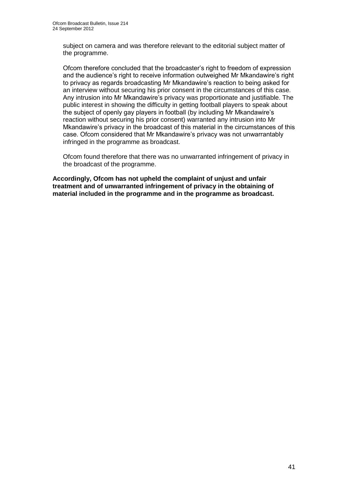subject on camera and was therefore relevant to the editorial subject matter of the programme.

Ofcom therefore concluded that the broadcaster's right to freedom of expression and the audience's right to receive information outweighed Mr Mkandawire's right to privacy as regards broadcasting Mr Mkandawire's reaction to being asked for an interview without securing his prior consent in the circumstances of this case. Any intrusion into Mr Mkandawire's privacy was proportionate and justifiable. The public interest in showing the difficulty in getting football players to speak about the subject of openly gay players in football (by including Mr Mkandawire's reaction without securing his prior consent) warranted any intrusion into Mr Mkandawire's privacy in the broadcast of this material in the circumstances of this case. Ofcom considered that Mr Mkandawire's privacy was not unwarrantably infringed in the programme as broadcast.

Ofcom found therefore that there was no unwarranted infringement of privacy in the broadcast of the programme.

**Accordingly, Ofcom has not upheld the complaint of unjust and unfair treatment and of unwarranted infringement of privacy in the obtaining of material included in the programme and in the programme as broadcast.**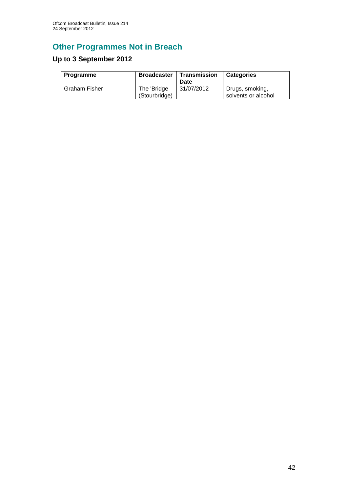# **Other Programmes Not in Breach**

# **Up to 3 September 2012**

| Programme            | <b>Broadcaster</b>           | Transmission<br>Date | <b>Categories</b>                      |
|----------------------|------------------------------|----------------------|----------------------------------------|
| <b>Graham Fisher</b> | The 'Bridge<br>(Stourbridge) | 31/07/2012           | Drugs, smoking,<br>solvents or alcohol |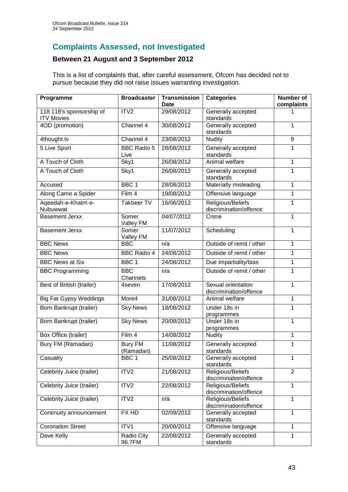# **Complaints Assessed, not Investigated**

# **Between 21 August and 3 September 2012**

This is a list of complaints that, after careful assessment, Ofcom has decided not to pursue because they did not raise issues warranting investigation.

| Programme                                     | <b>Broadcaster</b>          | <b>Transmission</b><br>Date | <b>Categories</b>                            | Number of<br>complaints |
|-----------------------------------------------|-----------------------------|-----------------------------|----------------------------------------------|-------------------------|
| 118 118's sponsorship of<br><b>ITV Movies</b> | ITV <sub>2</sub>            | 29/08/2012                  | Generally accepted<br>standards              |                         |
| 4OD (promotion)                               | Channel 4                   | 30/08/2012                  | Generally accepted<br>standards              | 1                       |
| 4thought.tv                                   | Channel 4                   | 23/08/2012                  | <b>Nudity</b>                                | 9                       |
| 5 Live Sport                                  | <b>BBC Radio 5</b><br>Live  | 28/08/2012                  | Generally accepted<br>standards              | 1                       |
| A Touch of Cloth                              | Sky1                        | 26/08/2012                  | Animal welfare                               | 1                       |
| A Touch of Cloth                              | Sky1                        | 26/08/2012                  | Generally accepted<br>standards              | 1                       |
| Accused                                       | BBC <sub>1</sub>            | 28/08/2012                  | Materially misleading                        | 1                       |
| Along Came a Spider                           | Film 4                      | 19/08/2012                  | Offensive language                           | 1                       |
| Aqeedah-e-Khatm-e-<br>Nubuwwat                | <b>Takbeer TV</b>           | 16/06/2012                  | Religious/Beliefs<br>discrimination/offence  | 1                       |
| <b>Basement Jerxx</b>                         | Somer<br>Valley FM          | 04/07/2012                  | Crime                                        | 1                       |
| <b>Basement Jerxx</b>                         | Somer<br>Valley FM          | 11/07/2012                  | Scheduling                                   | 1                       |
| <b>BBC News</b>                               | <b>BBC</b>                  | n/a                         | Outside of remit / other                     | 1                       |
| <b>BBC News</b>                               | <b>BBC Radio 4</b>          | 24/08/2012                  | Outside of remit / other                     | 1                       |
| <b>BBC News at Six</b>                        | BBC <sub>1</sub>            | 24/08/2012                  | Due impartiality/bias                        | 1                       |
| <b>BBC Programming</b>                        | <b>BBC</b><br>Channels      | n/a                         | Outside of remit / other                     | 1                       |
| Best of British (trailer)                     | 4seven                      | 17/08/2012                  | Sexual orientation<br>discrimination/offence | 1                       |
| <b>Big Fat Gypsy Weddings</b>                 | More4                       | 31/08/2012                  | Animal welfare                               | 1                       |
| Born Bankrupt (trailer)                       | <b>Sky News</b>             | 18/08/2012                  | Under 18s in<br>programmes                   | 1                       |
| Born Bankrupt (trailer)                       | <b>Sky News</b>             | 20/08/2012                  | Under 18s in<br>programmes                   | 1                       |
| Box Office (trailer)                          | Film 4                      | 14/08/2012                  | <b>Nudity</b>                                | 1                       |
| Bury FM (Ramadan)                             | <b>Bury FM</b><br>(Ramadan) | 11/08/2012                  | Generally accepted<br>standards              | 1                       |
| Casualty                                      | BBC 1                       | 25/08/2012                  | Generally accepted<br>standards              | 1                       |
| Celebrity Juice (trailer)                     | ITV2                        | 21/08/2012                  | Religious/Beliefs<br>discrimination/offence  | $\overline{2}$          |
| Celebrity Juice (trailer)                     | ITV2                        | 22/08/2012                  | Religious/Beliefs<br>discrimination/offence  | $\mathbf{1}$            |
| Celebrity Juice (trailer)                     | ITV2                        | n/a                         | Religious/Beliefs<br>discrimination/offence  | 1                       |
| Continuity announcement                       | FX HD                       | 02/09/2012                  | Generally accepted<br>standards              | 1                       |
| <b>Coronation Street</b>                      | ITV1                        | 20/08/2012                  | Offensive language                           | 1                       |
| Dave Kelly                                    | Radio City<br>96.7FM        | 22/08/2012                  | Generally accepted<br>standards              | 1                       |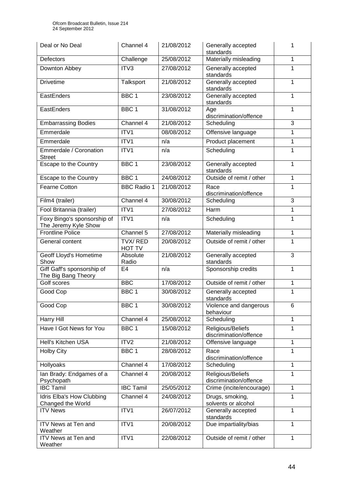| Deal or No Deal                                     | Channel 4                | 21/08/2012 | Generally accepted<br>standards             | 1 |
|-----------------------------------------------------|--------------------------|------------|---------------------------------------------|---|
| Defectors                                           | Challenge                | 25/08/2012 | Materially misleading                       | 1 |
| Downton Abbey                                       | ITV3                     | 27/08/2012 | Generally accepted<br>standards             | 1 |
| <b>Drivetime</b>                                    | Talksport                | 21/08/2012 | Generally accepted<br>standards             | 1 |
| EastEnders                                          | BBC <sub>1</sub>         | 23/08/2012 | Generally accepted<br>standards             | 1 |
| EastEnders                                          | BBC <sub>1</sub>         | 31/08/2012 | Age<br>discrimination/offence               | 1 |
| <b>Embarrassing Bodies</b>                          | Channel 4                | 21/08/2012 | Scheduling                                  | 3 |
| Emmerdale                                           | ITV1                     | 08/08/2012 | Offensive language                          | 1 |
| Emmerdale                                           | ITV1                     | n/a        | Product placement                           | 1 |
| Emmerdale / Coronation<br><b>Street</b>             | ITV1                     | n/a        | Scheduling                                  | 1 |
| Escape to the Country                               | BBC <sub>1</sub>         | 23/08/2012 | Generally accepted<br>standards             | 1 |
| <b>Escape to the Country</b>                        | BBC <sub>1</sub>         | 24/08/2012 | Outside of remit / other                    | 1 |
| <b>Fearne Cotton</b>                                | <b>BBC Radio 1</b>       | 21/08/2012 | Race<br>discrimination/offence              | 1 |
| Film4 (trailer)                                     | Channel 4                | 30/08/2012 | Scheduling                                  | 3 |
| Fool Britannia (trailer)                            | ITV1                     | 27/08/2012 | Harm                                        | 1 |
| Foxy Bingo's sponsorship of<br>The Jeremy Kyle Show | ITV1                     | n/a        | Scheduling                                  | 1 |
| <b>Frontline Police</b>                             | Channel 5                | 27/08/2012 | Materially misleading                       | 1 |
| General content                                     | TVX/RED<br><b>HOT TV</b> | 20/08/2012 | Outside of remit / other                    | 1 |
| Geoff Lloyd's Hometime<br>Show                      | Absolute<br>Radio        | 21/08/2012 | Generally accepted<br>standards             | 3 |
| Giff Gaff's sponsorship of<br>The Big Bang Theory   | E <sub>4</sub>           | n/a        | Sponsorship credits                         | 1 |
| Golf scores                                         | <b>BBC</b>               | 17/08/2012 | Outside of remit / other                    | 1 |
| Good Cop                                            | BBC <sub>1</sub>         | 30/08/2012 | Generally accepted<br>standards             | 1 |
| Good Cop                                            | BBC <sub>1</sub>         | 30/08/2012 | Violence and dangerous<br>behaviour         | 6 |
| <b>Harry Hill</b>                                   | Channel 4                | 25/08/2012 | Scheduling                                  | 1 |
| Have I Got News for You                             | BBC <sub>1</sub>         | 15/08/2012 | Religious/Beliefs<br>discrimination/offence | 1 |
| Hell's Kitchen USA                                  | ITV2                     | 21/08/2012 | Offensive language                          | 1 |
| <b>Holby City</b>                                   | BBC <sub>1</sub>         | 28/08/2012 | Race<br>discrimination/offence              | 1 |
| Hollyoaks                                           | Channel 4                | 17/08/2012 | Scheduling                                  | 1 |
| lan Brady: Endgames of a<br>Psychopath              | Channel 4                | 20/08/2012 | Religious/Beliefs<br>discrimination/offence | 1 |
| <b>IBC Tamil</b>                                    | <b>IBC Tamil</b>         | 25/05/2012 | Crime (incite/encourage)                    | 1 |
| Idris Elba's How Clubbing<br>Changed the World      | Channel 4                | 24/08/2012 | Drugs, smoking,<br>solvents or alcohol      | 1 |
| <b>ITV News</b>                                     | ITV1                     | 26/07/2012 | Generally accepted<br>standards             | 1 |
| <b>ITV News at Ten and</b><br>Weather               | ITV1                     | 20/08/2012 | Due impartiality/bias                       | 1 |
| <b>ITV News at Ten and</b><br>Weather               | ITV1                     | 22/08/2012 | Outside of remit / other                    | 1 |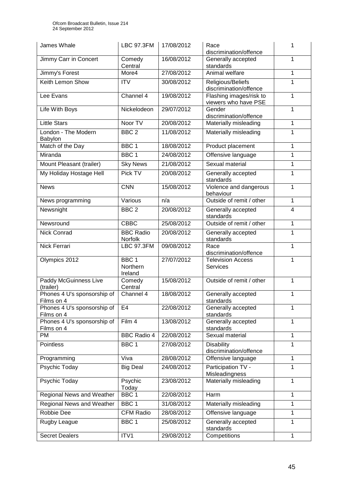| James Whale                               | <b>LBC 97.3FM</b>                       | 17/08/2012 | Race<br>discrimination/offence                  | 1 |
|-------------------------------------------|-----------------------------------------|------------|-------------------------------------------------|---|
| Jimmy Carr in Concert                     | Comedy<br>Central                       | 16/08/2012 | Generally accepted<br>standards                 | 1 |
| Jimmy's Forest                            | More4                                   | 27/08/2012 | Animal welfare                                  | 1 |
| Keith Lemon Show                          | <b>ITV</b>                              | 30/08/2012 | Religious/Beliefs<br>discrimination/offence     | 1 |
| Lee Evans                                 | Channel 4                               | 19/08/2012 | Flashing images/risk to<br>viewers who have PSE | 1 |
| Life With Boys                            | Nickelodeon                             | 29/07/2012 | Gender<br>discrimination/offence                | 1 |
| <b>Little Stars</b>                       | Noor TV                                 | 20/08/2012 | Materially misleading                           | 1 |
| London - The Modern<br><b>Babylon</b>     | BBC <sub>2</sub>                        | 11/08/2012 | Materially misleading                           | 1 |
| Match of the Day                          | BBC <sub>1</sub>                        | 18/08/2012 | Product placement                               | 1 |
| Miranda                                   | BBC <sub>1</sub>                        | 24/08/2012 | Offensive language                              | 1 |
| Mount Pleasant (trailer)                  | <b>Sky News</b>                         | 21/08/2012 | Sexual material                                 | 1 |
| My Holiday Hostage Hell                   | Pick TV                                 | 20/08/2012 | Generally accepted<br>standards                 | 1 |
| <b>News</b>                               | <b>CNN</b>                              | 15/08/2012 | Violence and dangerous<br>behaviour             | 1 |
| News programming                          | Various                                 | n/a        | Outside of remit / other                        | 1 |
| Newsnight                                 | BBC <sub>2</sub>                        | 20/08/2012 | Generally accepted<br>standards                 | 4 |
| Newsround                                 | <b>CBBC</b>                             | 25/08/2012 | Outside of remit / other                        | 1 |
| <b>Nick Conrad</b>                        | <b>BBC Radio</b><br><b>Norfolk</b>      | 20/08/2012 | Generally accepted<br>standards                 | 1 |
| Nick Ferrari                              | <b>LBC 97.3FM</b>                       | 09/08/2012 | Race<br>discrimination/offence                  | 1 |
| Olympics 2012                             | BBC <sub>1</sub><br>Northern<br>Ireland | 27/07/2012 | <b>Television Access</b><br><b>Services</b>     | 1 |
| Paddy McGuinness Live<br>(trailer)        | Comedy<br>Central                       | 15/08/2012 | Outside of remit / other                        | 1 |
| Phones 4 U's sponsorship of<br>Films on 4 | Channel 4                               | 18/08/2012 | Generally accepted<br>standards                 | 1 |
| Phones 4 U's sponsorship of<br>Films on 4 | E4                                      | 22/08/2012 | Generally accepted<br>standards                 | 1 |
| Phones 4 U's sponsorship of<br>Films on 4 | Film 4                                  | 13/08/2012 | Generally accepted<br>standards                 | 1 |
| <b>PM</b>                                 | <b>BBC Radio 4</b>                      | 22/08/2012 | Sexual material                                 | 1 |
| <b>Pointless</b>                          | BBC <sub>1</sub>                        | 27/08/2012 | <b>Disability</b><br>discrimination/offence     | 1 |
| Programming                               | Viva                                    | 28/08/2012 | Offensive language                              | 1 |
| Psychic Today                             | <b>Big Deal</b>                         | 24/08/2012 | Participation TV -<br>Misleadingness            | 1 |
| Psychic Today                             | Psychic<br>Today                        | 23/08/2012 | Materially misleading                           | 1 |
| Regional News and Weather                 | BBC <sub>1</sub>                        | 22/08/2012 | Harm                                            | 1 |
| Regional News and Weather                 | BBC <sub>1</sub>                        | 31/08/2012 | Materially misleading                           | 1 |
| Robbie Dee                                | <b>CFM Radio</b>                        | 28/08/2012 | Offensive language                              | 1 |
| Rugby League                              | BBC 1                                   | 25/08/2012 | Generally accepted<br>standards                 | 1 |
| <b>Secret Dealers</b>                     | ITV1                                    | 29/08/2012 | Competitions                                    | 1 |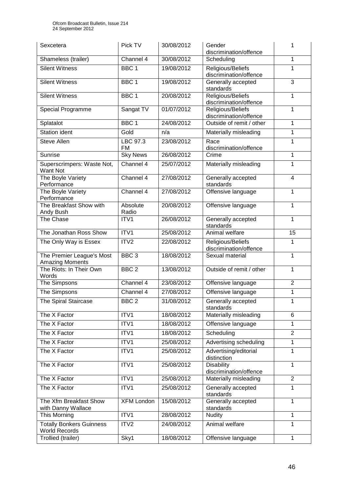| Sexcetera                                               | Pick TV               | 30/08/2012 | Gender<br>discrimination/offence            | 1              |
|---------------------------------------------------------|-----------------------|------------|---------------------------------------------|----------------|
| Shameless (trailer)                                     | Channel 4             | 30/08/2012 | Scheduling                                  | 1              |
| <b>Silent Witness</b>                                   | BBC <sub>1</sub>      | 19/08/2012 | Religious/Beliefs<br>discrimination/offence | 1              |
| <b>Silent Witness</b>                                   | BBC <sub>1</sub>      | 19/08/2012 | Generally accepted<br>standards             | 3              |
| <b>Silent Witness</b>                                   | BBC <sub>1</sub>      | 20/08/2012 | Religious/Beliefs<br>discrimination/offence | 1              |
| Special Programme                                       | Sangat TV             | 01/07/2012 | Religious/Beliefs<br>discrimination/offence | 1              |
| Splatalot                                               | BBC <sub>1</sub>      | 24/08/2012 | Outside of remit / other                    | 1              |
| Station ident                                           | Gold                  | n/a        | Materially misleading                       | 1              |
| <b>Steve Allen</b>                                      | LBC 97.3<br><b>FM</b> | 23/08/2012 | Race<br>discrimination/offence              | 1              |
| Sunrise                                                 | <b>Sky News</b>       | 26/08/2012 | Crime                                       | 1              |
| Superscrimpers: Waste Not,<br>Want Not                  | Channel 4             | 25/07/2012 | Materially misleading                       | 1              |
| The Boyle Variety<br>Performance                        | Channel 4             | 27/08/2012 | Generally accepted<br>standards             | $\overline{4}$ |
| The Boyle Variety<br>Performance                        | Channel 4             | 27/08/2012 | Offensive language                          | 1              |
| The Breakfast Show with<br>Andy Bush                    | Absolute<br>Radio     | 20/08/2012 | Offensive language                          | 1              |
| The Chase                                               | ITV1                  | 26/08/2012 | Generally accepted<br>standards             | 1              |
| The Jonathan Ross Show                                  | ITV <sub>1</sub>      | 25/08/2012 | Animal welfare                              | 15             |
| The Only Way is Essex                                   | ITV2                  | 22/08/2012 | Religious/Beliefs<br>discrimination/offence | 1              |
| The Premier League's Most<br><b>Amazing Moments</b>     | BBC <sub>3</sub>      | 18/08/2012 | Sexual material                             | 1              |
| The Riots: In Their Own<br>Words                        | BBC <sub>2</sub>      | 13/08/2012 | Outside of remit / other                    | 1              |
| The Simpsons                                            | Channel 4             | 23/08/2012 | Offensive language                          | $\overline{2}$ |
| The Simpsons                                            | Channel 4             | 27/08/2012 | Offensive language                          | 1              |
| The Spiral Staircase                                    | BBC <sub>2</sub>      | 31/08/2012 | Generally accepted<br>standards             | 1              |
| The X Factor                                            | ITV1                  | 18/08/2012 | Materially misleading                       | 6              |
| The X Factor                                            | ITV1                  | 18/08/2012 | Offensive language                          | 1              |
| The X Factor                                            | ITV1                  | 18/08/2012 | Scheduling                                  | $\overline{2}$ |
| The X Factor                                            | ITV1                  | 25/08/2012 | Advertising scheduling                      | 1              |
| The X Factor                                            | ITV1                  | 25/08/2012 | Advertising/editorial<br>distinction        | 1              |
| The X Factor                                            | ITV1                  | 25/08/2012 | <b>Disability</b><br>discrimination/offence | 1              |
| The X Factor                                            | ITV1                  | 25/08/2012 | Materially misleading                       | $\overline{2}$ |
| The X Factor                                            | ITV1                  | 25/08/2012 | Generally accepted<br>standards             | 1              |
| The Xfm Breakfast Show<br>with Danny Wallace            | <b>XFM London</b>     | 15/08/2012 | Generally accepted<br>standards             | 1              |
| This Morning                                            | ITV1                  | 28/08/2012 | <b>Nudity</b>                               | 1              |
| <b>Totally Bonkers Guinness</b><br><b>World Records</b> | ITV2                  | 24/08/2012 | Animal welfare                              | 1              |
| Trollied (trailer)                                      | Sky1                  | 18/08/2012 | Offensive language                          | 1              |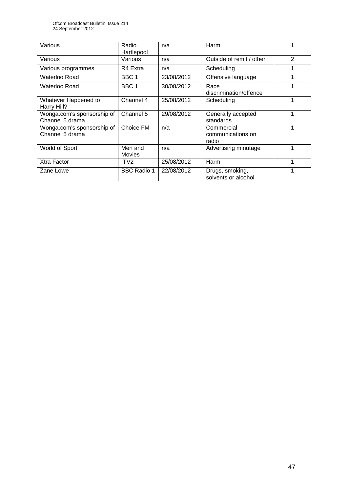Ofcom Broadcast Bulletin, Issue 214 24 September 2012

| Various                                       | Radio<br>Hartlepool | n/a        | Harm                                     |                |
|-----------------------------------------------|---------------------|------------|------------------------------------------|----------------|
| Various                                       | Various             | n/a        | Outside of remit / other                 | $\overline{2}$ |
| Various programmes                            | R4 Extra            | n/a        | Scheduling                               |                |
| Waterloo Road                                 | BBC 1               | 23/08/2012 | Offensive language                       | 1              |
| Waterloo Road                                 | BBC <sub>1</sub>    | 30/08/2012 | Race<br>discrimination/offence           |                |
| Whatever Happened to<br>Harry Hill?           | Channel 4           | 25/08/2012 | Scheduling                               |                |
| Wonga.com's sponsorship of<br>Channel 5 drama | Channel 5           | 29/08/2012 | Generally accepted<br>standards          | 1              |
| Wonga.com's sponsorship of<br>Channel 5 drama | Choice FM           | n/a        | Commercial<br>communications on<br>radio | 1              |
| World of Sport                                | Men and<br>Movies   | n/a        | Advertising minutage                     | 1              |
| Xtra Factor                                   | ITV <sub>2</sub>    | 25/08/2012 | Harm                                     | 1              |
| Zane Lowe                                     | <b>BBC Radio 1</b>  | 22/08/2012 | Drugs, smoking,<br>solvents or alcohol   |                |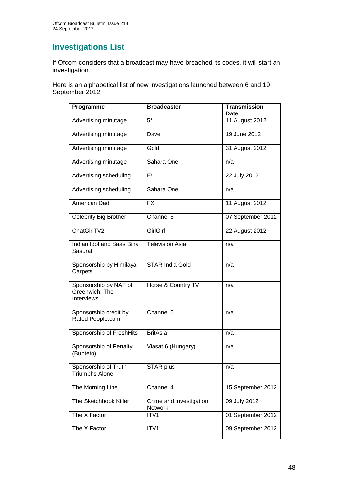# **Investigations List**

If Ofcom considers that a broadcast may have breached its codes, it will start an investigation.

Here is an alphabetical list of new investigations launched between 6 and 19 September 2012.

| Programme                                             | <b>Broadcaster</b>                 | <b>Transmission</b><br>Date |
|-------------------------------------------------------|------------------------------------|-----------------------------|
| Advertising minutage                                  | $5^*$                              | 11 August 2012              |
| Advertising minutage                                  | Dave                               | 19 June 2012                |
| Advertising minutage                                  | Gold                               | 31 August 2012              |
| Advertising minutage                                  | Sahara One                         | n/a                         |
| Advertising scheduling                                | E!                                 | 22 July 2012                |
| Advertising scheduling                                | Sahara One                         | n/a                         |
| American Dad                                          | <b>FX</b>                          | 11 August 2012              |
| Celebrity Big Brother                                 | Channel 5                          | 07 September 2012           |
| ChatGirlTV2                                           | <b>GirlGirl</b>                    | 22 August 2012              |
| Indian Idol and Saas Bina<br>Sasural                  | <b>Television Asia</b>             | n/a                         |
| Sponsorship by Himilaya<br>Carpets                    | <b>STAR India Gold</b>             | n/a                         |
| Sponsorship by NAF of<br>Greenwich: The<br>Interviews | Horse & Country TV                 | n/a                         |
| Sponsorship credit by<br>Rated People.com             | Channel 5                          | n/a                         |
| Sponsorship of FreshHits                              | <b>BritAsia</b>                    | n/a                         |
| Sponsorship of Penalty<br>(Bunteto)                   | Viasat 6 (Hungary)                 | n/a                         |
| Sponsorship of Truth<br><b>Triumphs Alone</b>         | <b>STAR plus</b>                   | n/a                         |
| The Morning Line                                      | Channel 4                          | 15 September 2012           |
| The Sketchbook Killer                                 | Crime and Investigation<br>Network | 09 July 2012                |
| The X Factor                                          | ITV1                               | 01 September 2012           |
| The X Factor                                          | ITV1                               | 09 September 2012           |